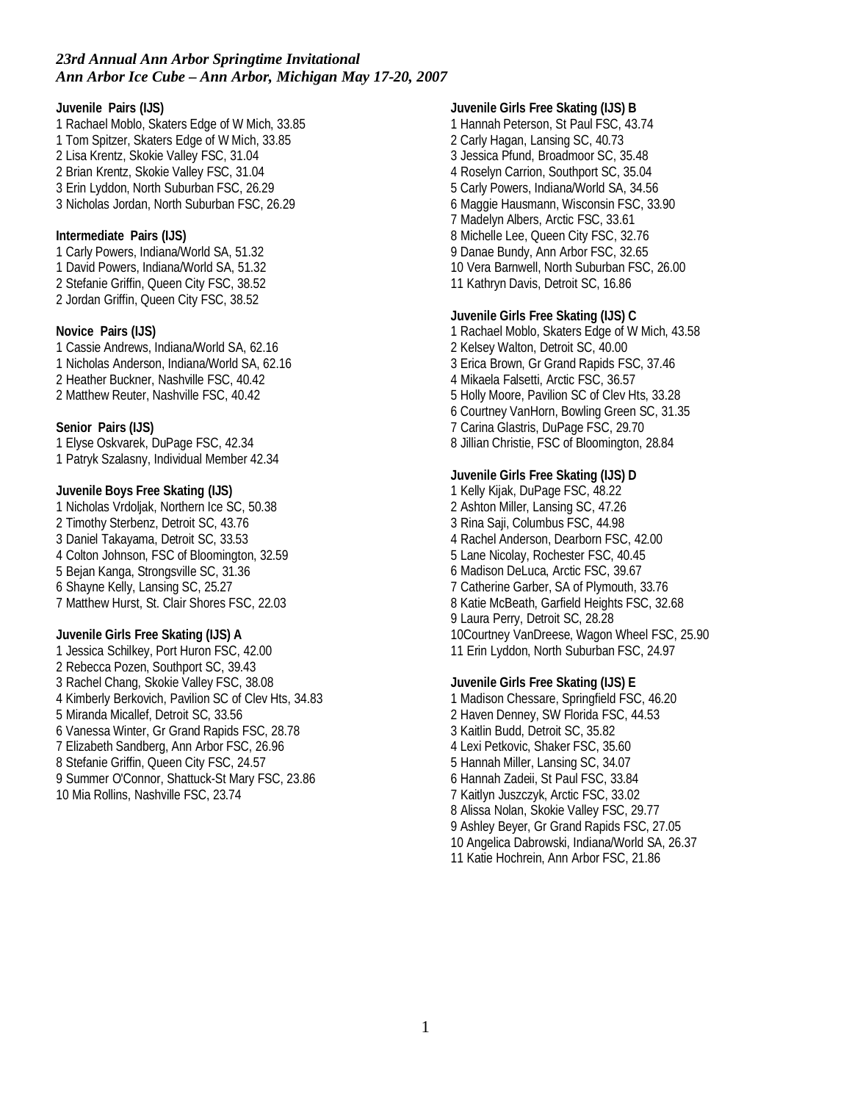**Juvenile Pairs (IJS)** 1 Rachael Moblo, Skaters Edge of W Mich, 33.85 1 Tom Spitzer, Skaters Edge of W Mich, 33.85 2 Lisa Krentz, Skokie Valley FSC, 31.04 2 Brian Krentz, Skokie Valley FSC, 31.04 3 Erin Lyddon, North Suburban FSC, 26.29 3 Nicholas Jordan, North Suburban FSC, 26.29 **Intermediate Pairs (IJS)** 1 Carly Powers, Indiana/World SA, 51.32 1 David Powers, Indiana/World SA, 51.32 2 Stefanie Griffin, Queen City FSC, 38.52 2 Jordan Griffin, Queen City FSC, 38.52 **Novice Pairs (IJS)** 1 Cassie Andrews, Indiana/World SA, 62.16 1 Nicholas Anderson, Indiana/World SA, 62.16 2 Heather Buckner, Nashville FSC, 40.42 2 Matthew Reuter, Nashville FSC, 40.42 **Senior Pairs (IJS)** 1 Elyse Oskvarek, DuPage FSC, 42.34 1 Patryk Szalasny, Individual Member 42.34 **Juvenile Boys Free Skating (IJS)** 1 Nicholas Vrdoljak, Northern Ice SC, 50.38 2 Timothy Sterbenz, Detroit SC, 43.76 3 Daniel Takayama, Detroit SC, 33.53 4 Colton Johnson, FSC of Bloomington, 32.59 5 Bejan Kanga, Strongsville SC, 31.36 6 Shayne Kelly, Lansing SC, 25.27 7 Matthew Hurst, St. Clair Shores FSC, 22.03 **Juvenile Girls Free Skating (IJS) A** 1 Jessica Schilkey, Port Huron FSC, 42.00 2 Rebecca Pozen, Southport SC, 39.43 3 Rachel Chang, Skokie Valley FSC, 38.08 4 Kimberly Berkovich, Pavilion SC of Clev Hts, 34.83 5 Miranda Micallef, Detroit SC, 33.56 6 Vanessa Winter, Gr Grand Rapids FSC, 28.78 7 Elizabeth Sandberg, Ann Arbor FSC, 26.96 8 Stefanie Griffin, Queen City FSC, 24.57 9 Summer O'Connor, Shattuck-St Mary FSC, 23.86 10 Mia Rollins, Nashville FSC, 23.74

**Juvenile Girls Free Skating (IJS) B** 1 Hannah Peterson, St Paul FSC, 43.74 2 Carly Hagan, Lansing SC, 40.73 3 Jessica Pfund, Broadmoor SC, 35.48 4 Roselyn Carrion, Southport SC, 35.04 5 Carly Powers, Indiana/World SA, 34.56 6 Maggie Hausmann, Wisconsin FSC, 33.90 7 Madelyn Albers, Arctic FSC, 33.61 8 Michelle Lee, Queen City FSC, 32.76 9 Danae Bundy, Ann Arbor FSC, 32.65 10 Vera Barnwell, North Suburban FSC, 26.00 11 Kathryn Davis, Detroit SC, 16.86

**Juvenile Girls Free Skating (IJS) C** 1 Rachael Moblo, Skaters Edge of W Mich, 43.58 2 Kelsey Walton, Detroit SC, 40.00 3 Erica Brown, Gr Grand Rapids FSC, 37.46 4 Mikaela Falsetti, Arctic FSC, 36.57 5 Holly Moore, Pavilion SC of Clev Hts, 33.28 6 Courtney VanHorn, Bowling Green SC, 31.35 7 Carina Glastris, DuPage FSC, 29.70 8 Jillian Christie, FSC of Bloomington, 28.84

**Juvenile Girls Free Skating (IJS) D** 1 Kelly Kijak, DuPage FSC, 48.22 2 Ashton Miller, Lansing SC, 47.26 3 Rina Saji, Columbus FSC, 44.98 4 Rachel Anderson, Dearborn FSC, 42.00 5 Lane Nicolay, Rochester FSC, 40.45 6 Madison DeLuca, Arctic FSC, 39.67 7 Catherine Garber, SA of Plymouth, 33.76 8 Katie McBeath, Garfield Heights FSC, 32.68 9 Laura Perry, Detroit SC, 28.28 10Courtney VanDreese, Wagon Wheel FSC, 25.90 11 Erin Lyddon, North Suburban FSC, 24.97

**Juvenile Girls Free Skating (IJS) E** 1 Madison Chessare, Springfield FSC, 46.20 2 Haven Denney, SW Florida FSC, 44.53 3 Kaitlin Budd, Detroit SC, 35.82 4 Lexi Petkovic, Shaker FSC, 35.60 5 Hannah Miller, Lansing SC, 34.07 6 Hannah Zadeii, St Paul FSC, 33.84 7 Kaitlyn Juszczyk, Arctic FSC, 33.02 8 Alissa Nolan, Skokie Valley FSC, 29.77 9 Ashley Beyer, Gr Grand Rapids FSC, 27.05 10 Angelica Dabrowski, Indiana/World SA, 26.37 11 Katie Hochrein, Ann Arbor FSC, 21.86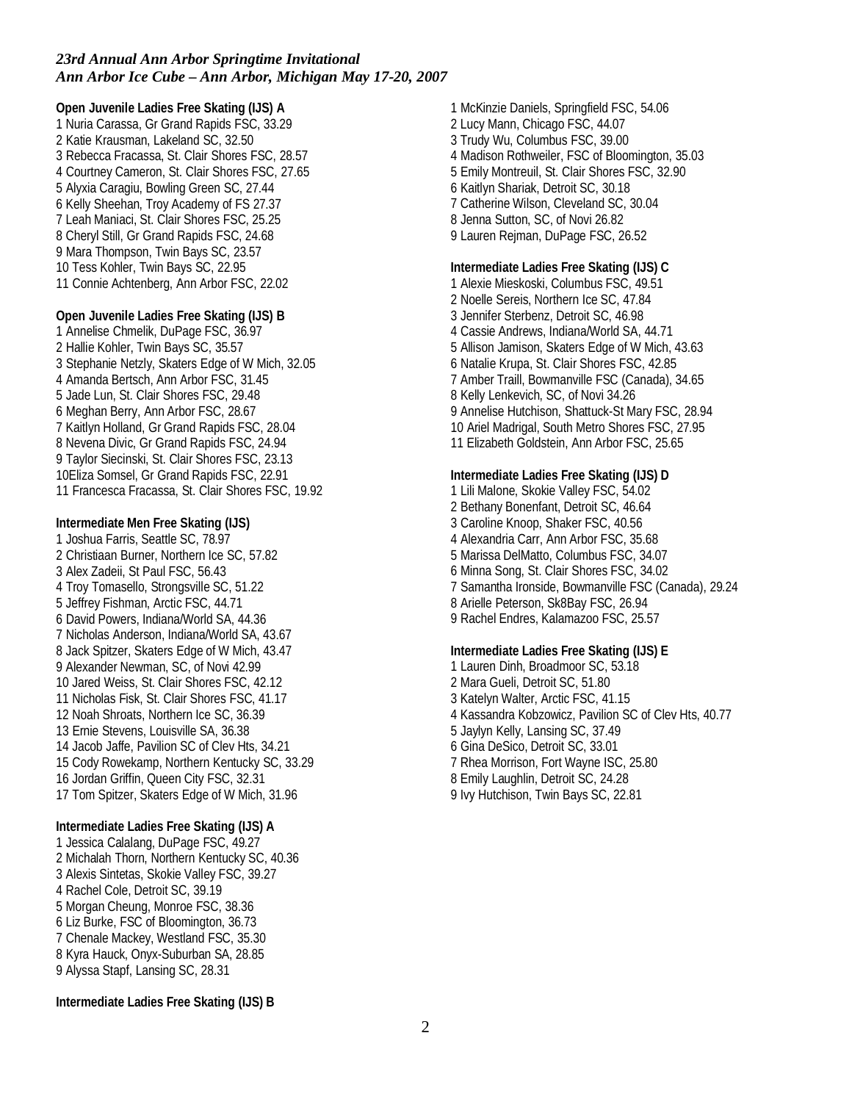**Open Juvenile Ladies Free Skating (IJS) A** 1 Nuria Carassa, Gr Grand Rapids FSC, 33.29 2 Katie Krausman, Lakeland SC, 32.50 3 Rebecca Fracassa, St. Clair Shores FSC, 28.57 4 Courtney Cameron, St. Clair Shores FSC, 27.65 5 Alyxia Caragiu, Bowling Green SC, 27.44 6 Kelly Sheehan, Troy Academy of FS 27.37 7 Leah Maniaci, St. Clair Shores FSC, 25.25 8 Cheryl Still, Gr Grand Rapids FSC, 24.68 9 Mara Thompson, Twin Bays SC, 23.57 10 Tess Kohler, Twin Bays SC, 22.95 11 Connie Achtenberg, Ann Arbor FSC, 22.02 **Open Juvenile Ladies Free Skating (IJS) B** 1 Annelise Chmelik, DuPage FSC, 36.97 2 Hallie Kohler, Twin Bays SC, 35.57 3 Stephanie Netzly, Skaters Edge of W Mich, 32.05 4 Amanda Bertsch, Ann Arbor FSC, 31.45 5 Jade Lun, St. Clair Shores FSC, 29.48 6 Meghan Berry, Ann Arbor FSC, 28.67 7 Kaitlyn Holland, Gr Grand Rapids FSC, 28.04 8 Nevena Divic, Gr Grand Rapids FSC, 24.94 9 Taylor Siecinski, St. Clair Shores FSC, 23.13 10Eliza Somsel, Gr Grand Rapids FSC, 22.91 11 Francesca Fracassa, St. Clair Shores FSC, 19.92 **Intermediate Men Free Skating (IJS)** 1 Joshua Farris, Seattle SC, 78.97 2 Christiaan Burner, Northern Ice SC, 57.82 3 Alex Zadeii, St Paul FSC, 56.43 4 Troy Tomasello, Strongsville SC, 51.22 5 Jeffrey Fishman, Arctic FSC, 44.71 6 David Powers, Indiana/World SA, 44.36 7 Nicholas Anderson, Indiana/World SA, 43.67 8 Jack Spitzer, Skaters Edge of W Mich, 43.47 9 Alexander Newman, SC, of Novi 42.99 10 Jared Weiss, St. Clair Shores FSC, 42.12 11 Nicholas Fisk, St. Clair Shores FSC, 41.17 12 Noah Shroats, Northern Ice SC, 36.39 13 Ernie Stevens, Louisville SA, 36.38 14 Jacob Jaffe, Pavilion SC of Clev Hts, 34.21 15 Cody Rowekamp, Northern Kentucky SC, 33.29 16 Jordan Griffin, Queen City FSC, 32.31 17 Tom Spitzer, Skaters Edge of W Mich, 31.96

**Intermediate Ladies Free Skating (IJS) A** 1 Jessica Calalang, DuPage FSC, 49.27 2 Michalah Thorn, Northern Kentucky SC, 40.36 3 Alexis Sintetas, Skokie Valley FSC, 39.27 4 Rachel Cole, Detroit SC, 39.19 5 Morgan Cheung, Monroe FSC, 38.36 6 Liz Burke, FSC of Bloomington, 36.73 7 Chenale Mackey, Westland FSC, 35.30 8 Kyra Hauck, Onyx-Suburban SA, 28.85 9 Alyssa Stapf, Lansing SC, 28.31

**Intermediate Ladies Free Skating (IJS) B**

1 McKinzie Daniels, Springfield FSC, 54.06 2 Lucy Mann, Chicago FSC, 44.07 3 Trudy Wu, Columbus FSC, 39.00 4 Madison Rothweiler, FSC of Bloomington, 35.03 5 Emily Montreuil, St. Clair Shores FSC, 32.90 6 Kaitlyn Shariak, Detroit SC, 30.18 7 Catherine Wilson, Cleveland SC, 30.04 8 Jenna Sutton, SC, of Novi 26.82 9 Lauren Rejman, DuPage FSC, 26.52

**Intermediate Ladies Free Skating (IJS) C** 1 Alexie Mieskoski, Columbus FSC, 49.51 2 Noelle Sereis, Northern Ice SC, 47.84 3 Jennifer Sterbenz, Detroit SC, 46.98 4 Cassie Andrews, Indiana/World SA, 44.71 5 Allison Jamison, Skaters Edge of W Mich, 43.63 6 Natalie Krupa, St. Clair Shores FSC, 42.85 7 Amber Traill, Bowmanville FSC (Canada), 34.65 8 Kelly Lenkevich, SC, of Novi 34.26 9 Annelise Hutchison, Shattuck-St Mary FSC, 28.94 10 Ariel Madrigal, South Metro Shores FSC, 27.95 11 Elizabeth Goldstein, Ann Arbor FSC, 25.65

**Intermediate Ladies Free Skating (IJS) D** 1 Lili Malone, Skokie Valley FSC, 54.02 2 Bethany Bonenfant, Detroit SC, 46.64 3 Caroline Knoop, Shaker FSC, 40.56 4 Alexandria Carr, Ann Arbor FSC, 35.68 5 Marissa DelMatto, Columbus FSC, 34.07 6 Minna Song, St. Clair Shores FSC, 34.02 7 Samantha Ironside, Bowmanville FSC (Canada), 29.24 8 Arielle Peterson, Sk8Bay FSC, 26.94 9 Rachel Endres, Kalamazoo FSC, 25.57

**Intermediate Ladies Free Skating (IJS) E** 1 Lauren Dinh, Broadmoor SC, 53.18 2 Mara Gueli, Detroit SC, 51.80 3 Katelyn Walter, Arctic FSC, 41.15 4 Kassandra Kobzowicz, Pavilion SC of Clev Hts, 40.77 5 Jaylyn Kelly, Lansing SC, 37.49 6 Gina DeSico, Detroit SC, 33.01 7 Rhea Morrison, Fort Wayne ISC, 25.80 8 Emily Laughlin, Detroit SC, 24.28 9 Ivy Hutchison, Twin Bays SC, 22.81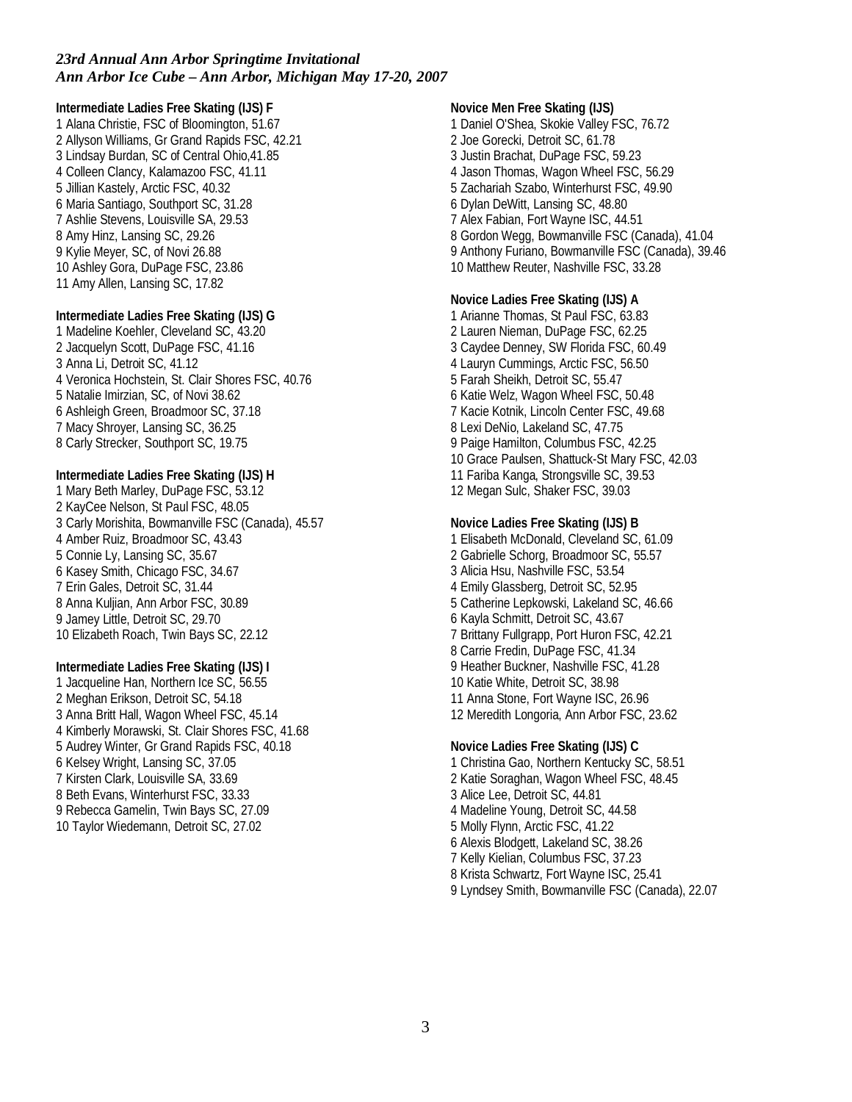**Intermediate Ladies Free Skating (IJS) F** 1 Alana Christie, FSC of Bloomington, 51.67 2 Allyson Williams, Gr Grand Rapids FSC, 42.21 3 Lindsay Burdan, SC of Central Ohio,41.85 4 Colleen Clancy, Kalamazoo FSC, 41.11 5 Jillian Kastely, Arctic FSC, 40.32 6 Maria Santiago, Southport SC, 31.28 7 Ashlie Stevens, Louisville SA, 29.53 8 Amy Hinz, Lansing SC, 29.26 9 Kylie Meyer, SC, of Novi 26.88 10 Ashley Gora, DuPage FSC, 23.86 11 Amy Allen, Lansing SC, 17.82

**Intermediate Ladies Free Skating (IJS) G** 1 Madeline Koehler, Cleveland SC, 43.20 2 Jacquelyn Scott, DuPage FSC, 41.16 3 Anna Li, Detroit SC, 41.12 4 Veronica Hochstein, St. Clair Shores FSC, 40.76 5 Natalie Imirzian, SC, of Novi 38.62 6 Ashleigh Green, Broadmoor SC, 37.18 7 Macy Shroyer, Lansing SC, 36.25 8 Carly Strecker, Southport SC, 19.75

**Intermediate Ladies Free Skating (IJS) H** 1 Mary Beth Marley, DuPage FSC, 53.12 2 KayCee Nelson, St Paul FSC, 48.05 3 Carly Morishita, Bowmanville FSC (Canada), 45.57 4 Amber Ruiz, Broadmoor SC, 43.43 5 Connie Ly, Lansing SC, 35.67 6 Kasey Smith, Chicago FSC, 34.67 7 Erin Gales, Detroit SC, 31.44 8 Anna Kuljian, Ann Arbor FSC, 30.89 9 Jamey Little, Detroit SC, 29.70 10 Elizabeth Roach, Twin Bays SC, 22.12

**Intermediate Ladies Free Skating (IJS) I** 1 Jacqueline Han, Northern Ice SC, 56.55 2 Meghan Erikson, Detroit SC, 54.18 3 Anna Britt Hall, Wagon Wheel FSC, 45.14 4 Kimberly Morawski, St. Clair Shores FSC, 41.68 5 Audrey Winter, Gr Grand Rapids FSC, 40.18 6 Kelsey Wright, Lansing SC, 37.05 7 Kirsten Clark, Louisville SA, 33.69 8 Beth Evans, Winterhurst FSC, 33.33 9 Rebecca Gamelin, Twin Bays SC, 27.09 10 Taylor Wiedemann, Detroit SC, 27.02

**Novice Men Free Skating (IJS)** 1 Daniel O'Shea, Skokie Valley FSC, 76.72 2 Joe Gorecki, Detroit SC, 61.78 3 Justin Brachat, DuPage FSC, 59.23 4 Jason Thomas, Wagon Wheel FSC, 56.29 5 Zachariah Szabo, Winterhurst FSC, 49.90 6 Dylan DeWitt, Lansing SC, 48.80 7 Alex Fabian, Fort Wayne ISC, 44.51 8 Gordon Wegg, Bowmanville FSC (Canada), 41.04 9 Anthony Furiano, Bowmanville FSC (Canada), 39.46 10 Matthew Reuter, Nashville FSC, 33.28 **Novice Ladies Free Skating (IJS) A** 1 Arianne Thomas, St Paul FSC, 63.83 2 Lauren Nieman, DuPage FSC, 62.25 3 Caydee Denney, SW Florida FSC, 60.49 4 Lauryn Cummings, Arctic FSC, 56.50 5 Farah Sheikh, Detroit SC, 55.47 6 Katie Welz, Wagon Wheel FSC, 50.48 7 Kacie Kotnik, Lincoln Center FSC, 49.68 8 Lexi DeNio, Lakeland SC, 47.75 9 Paige Hamilton, Columbus FSC, 42.25 10 Grace Paulsen, Shattuck-St Mary FSC, 42.03 11 Fariba Kanga, Strongsville SC, 39.53 12 Megan Sulc, Shaker FSC, 39.03 **Novice Ladies Free Skating (IJS) B** 1 Elisabeth McDonald, Cleveland SC, 61.09 2 Gabrielle Schorg, Broadmoor SC, 55.57 3 Alicia Hsu, Nashville FSC, 53.54 4 Emily Glassberg, Detroit SC, 52.95

5 Catherine Lepkowski, Lakeland SC, 46.66 6 Kayla Schmitt, Detroit SC, 43.67 7 Brittany Fullgrapp, Port Huron FSC, 42.21 8 Carrie Fredin, DuPage FSC, 41.34 9 Heather Buckner, Nashville FSC, 41.28 10 Katie White, Detroit SC, 38.98 11 Anna Stone, Fort Wayne ISC, 26.96 12 Meredith Longoria, Ann Arbor FSC, 23.62

**Novice Ladies Free Skating (IJS) C** 1 Christina Gao, Northern Kentucky SC, 58.51 2 Katie Soraghan, Wagon Wheel FSC, 48.45 3 Alice Lee, Detroit SC, 44.81 4 Madeline Young, Detroit SC, 44.58 5 Molly Flynn, Arctic FSC, 41.22 6 Alexis Blodgett, Lakeland SC, 38.26 7 Kelly Kielian, Columbus FSC, 37.23 8 Krista Schwartz, Fort Wayne ISC, 25.41 9 Lyndsey Smith, Bowmanville FSC (Canada), 22.07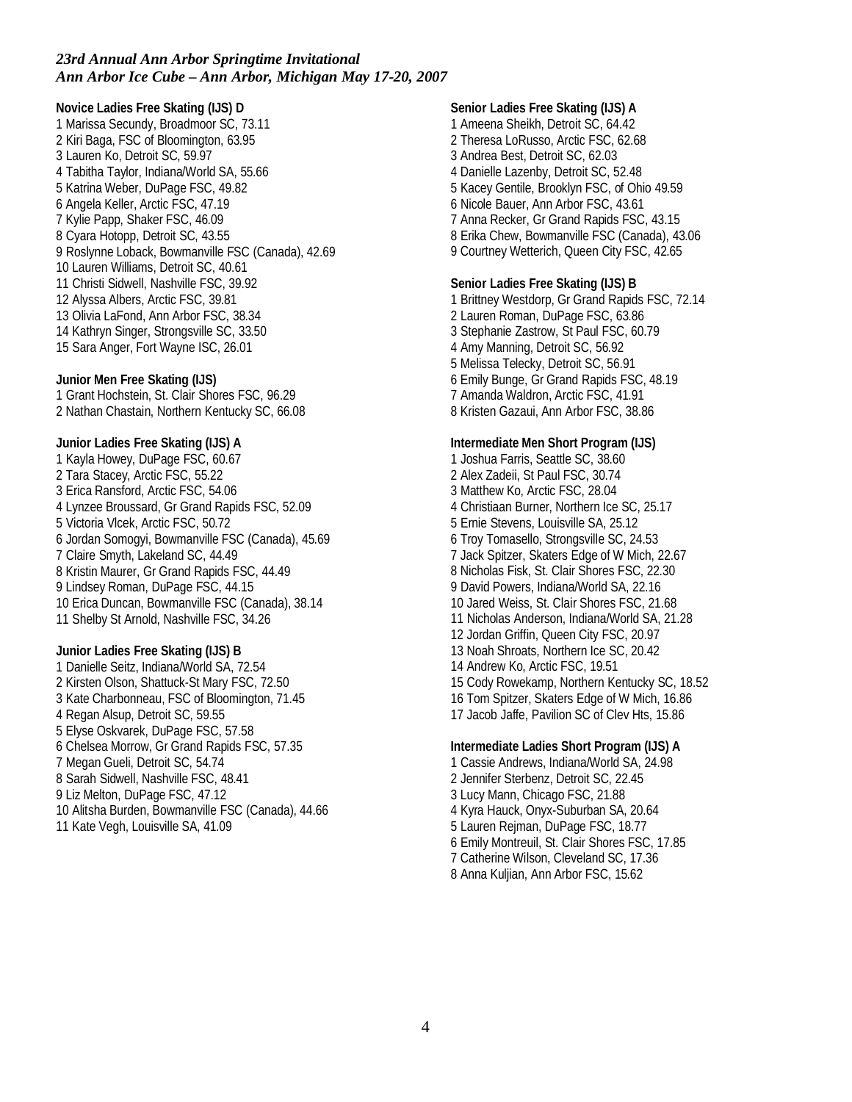**Novice Ladies Free Skating (IJS) D** 1 Marissa Secundy, Broadmoor SC, 73.11 2 Kiri Baga, FSC of Bloomington, 63.95 3 Lauren Ko, Detroit SC, 59.97 4 Tabitha Taylor, Indiana/World SA, 55.66 5 Katrina Weber, DuPage FSC, 49.82 6 Angela Keller, Arctic FSC, 47.19 7 Kylie Papp, Shaker FSC, 46.09 8 Cyara Hotopp, Detroit SC, 43.55 9 Roslynne Loback, Bowmanville FSC (Canada), 42.69 10 Lauren Williams, Detroit SC, 40.61 11 Christi Sidwell, Nashville FSC, 39.92 12 Alyssa Albers, Arctic FSC, 39.81 13 Olivia LaFond, Ann Arbor FSC, 38.34 14 Kathryn Singer, Strongsville SC, 33.50 15 Sara Anger, Fort Wayne ISC, 26.01

**Junior Men Free Skating (IJS)** 1 Grant Hochstein, St. Clair Shores FSC, 96.29 2 Nathan Chastain, Northern Kentucky SC, 66.08

**Junior Ladies Free Skating (IJS) A** 1 Kayla Howey, DuPage FSC, 60.67 2 Tara Stacey, Arctic FSC, 55.22 3 Erica Ransford, Arctic FSC, 54.06 4 Lynzee Broussard, Gr Grand Rapids FSC, 52.09 5 Victoria Vlcek, Arctic FSC, 50.72 6 Jordan Somogyi, Bowmanville FSC (Canada), 45.69 7 Claire Smyth, Lakeland SC, 44.49 8 Kristin Maurer, Gr Grand Rapids FSC, 44.49 9 Lindsey Roman, DuPage FSC, 44.15 10 Erica Duncan, Bowmanville FSC (Canada), 38.14 11 Shelby St Arnold, Nashville FSC, 34.26

**Junior Ladies Free Skating (IJS) B** 1 Danielle Seitz, Indiana/World SA, 72.54 2 Kirsten Olson, Shattuck-St Mary FSC, 72.50 3 Kate Charbonneau, FSC of Bloomington, 71.45 4 Regan Alsup, Detroit SC, 59.55 5 Elyse Oskvarek, DuPage FSC, 57.58 6 Chelsea Morrow, Gr Grand Rapids FSC, 57.35 7 Megan Gueli, Detroit SC, 54.74 8 Sarah Sidwell, Nashville FSC, 48.41 9 Liz Melton, DuPage FSC, 47.12 10 Alitsha Burden, Bowmanville FSC (Canada), 44.66

11 Kate Vegh, Louisville SA, 41.09

**Senior Ladies Free Skating (IJS) A** 1 Ameena Sheikh, Detroit SC, 64.42 2 Theresa LoRusso, Arctic FSC, 62.68 3 Andrea Best, Detroit SC, 62.03 4 Danielle Lazenby, Detroit SC, 52.48 5 Kacey Gentile, Brooklyn FSC, of Ohio 49.59 6 Nicole Bauer, Ann Arbor FSC, 43.61 7 Anna Recker, Gr Grand Rapids FSC, 43.15 8 Erika Chew, Bowmanville FSC (Canada), 43.06 9 Courtney Wetterich, Queen City FSC, 42.65 **Senior Ladies Free Skating (IJS) B** 1 Brittney Westdorp, Gr Grand Rapids FSC, 72.14 2 Lauren Roman, DuPage FSC, 63.86 3 Stephanie Zastrow, St Paul FSC, 60.79 4 Amy Manning, Detroit SC, 56.92 5 Melissa Telecky, Detroit SC, 56.91 6 Emily Bunge, Gr Grand Rapids FSC, 48.19 7 Amanda Waldron, Arctic FSC, 41.91 8 Kristen Gazaui, Ann Arbor FSC, 38.86 **Intermediate Men Short Program (IJS)** 1 Joshua Farris, Seattle SC, 38.60 2 Alex Zadeii, St Paul FSC, 30.74 3 Matthew Ko, Arctic FSC, 28.04 4 Christiaan Burner, Northern Ice SC, 25.17 5 Ernie Stevens, Louisville SA, 25.12 6 Troy Tomasello, Strongsville SC, 24.53 7 Jack Spitzer, Skaters Edge of W Mich, 22.67 8 Nicholas Fisk, St. Clair Shores FSC, 22.30 9 David Powers, Indiana/World SA, 22.16 10 Jared Weiss, St. Clair Shores FSC, 21.68 11 Nicholas Anderson, Indiana/World SA, 21.28 12 Jordan Griffin, Queen City FSC, 20.97 13 Noah Shroats, Northern Ice SC, 20.42 14 Andrew Ko, Arctic FSC, 19.51 15 Cody Rowekamp, Northern Kentucky SC, 18.52 16 Tom Spitzer, Skaters Edge of W Mich, 16.86 17 Jacob Jaffe, Pavilion SC of Clev Hts, 15.86 **Intermediate Ladies Short Program (IJS) A** 1 Cassie Andrews, Indiana/World SA, 24.98 2 Jennifer Sterbenz, Detroit SC, 22.45 3 Lucy Mann, Chicago FSC, 21.88

4 Kyra Hauck, Onyx-Suburban SA, 20.64 5 Lauren Rejman, DuPage FSC, 18.77

6 Emily Montreuil, St. Clair Shores FSC, 17.85

7 Catherine Wilson, Cleveland SC, 17.36

8 Anna Kuljian, Ann Arbor FSC, 15.62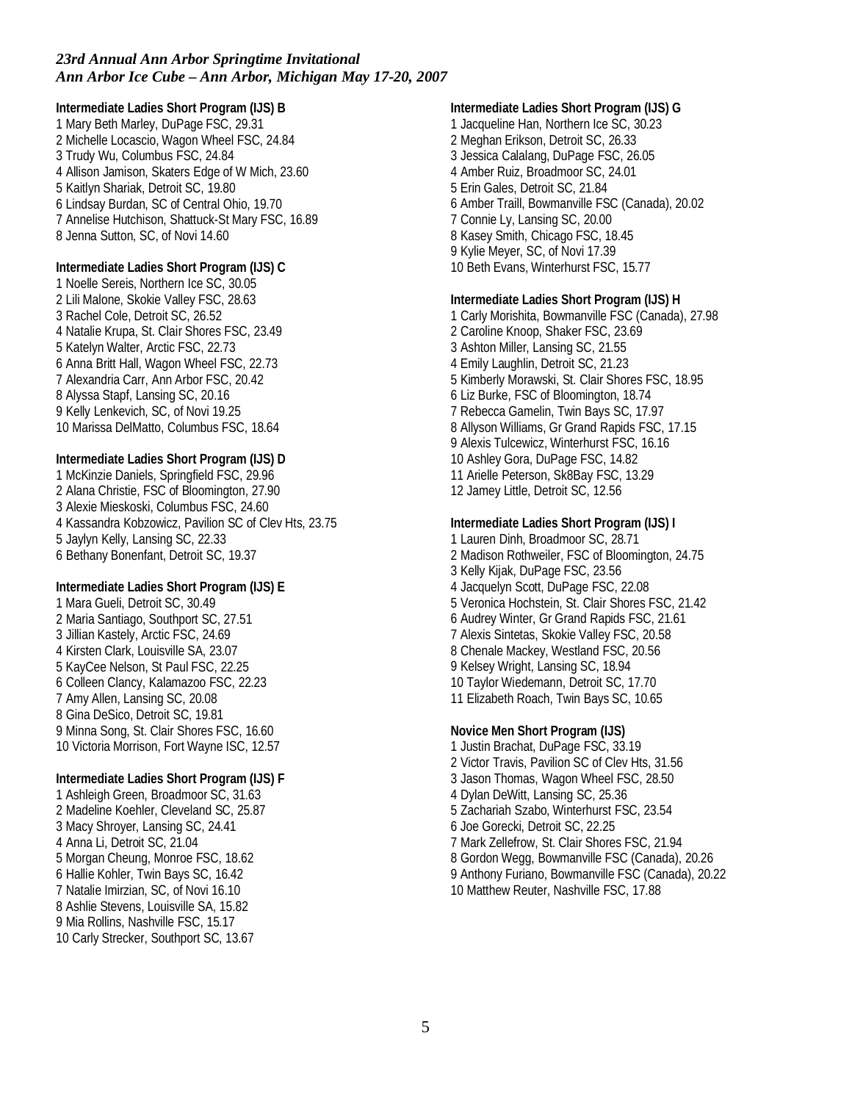**Intermediate Ladies Short Program (IJS) B** 1 Mary Beth Marley, DuPage FSC, 29.31 2 Michelle Locascio, Wagon Wheel FSC, 24.84 3 Trudy Wu, Columbus FSC, 24.84 4 Allison Jamison, Skaters Edge of W Mich, 23.60 5 Kaitlyn Shariak, Detroit SC, 19.80 6 Lindsay Burdan, SC of Central Ohio, 19.70 7 Annelise Hutchison, Shattuck-St Mary FSC, 16.89 8 Jenna Sutton, SC, of Novi 14.60 **Intermediate Ladies Short Program (IJS) C** 1 Noelle Sereis, Northern Ice SC, 30.05 2 Lili Malone, Skokie Valley FSC, 28.63 3 Rachel Cole, Detroit SC, 26.52 4 Natalie Krupa, St. Clair Shores FSC, 23.49 5 Katelyn Walter, Arctic FSC, 22.73 6 Anna Britt Hall, Wagon Wheel FSC, 22.73 7 Alexandria Carr, Ann Arbor FSC, 20.42 8 Alyssa Stapf, Lansing SC, 20.16 9 Kelly Lenkevich, SC, of Novi 19.25 10 Marissa DelMatto, Columbus FSC, 18.64 **Intermediate Ladies Short Program (IJS) D** 1 McKinzie Daniels, Springfield FSC, 29.96 2 Alana Christie, FSC of Bloomington, 27.90 3 Alexie Mieskoski, Columbus FSC, 24.60 4 Kassandra Kobzowicz, Pavilion SC of Clev Hts, 23.75 5 Jaylyn Kelly, Lansing SC, 22.33 6 Bethany Bonenfant, Detroit SC, 19.37 **Intermediate Ladies Short Program (IJS) E** 1 Mara Gueli, Detroit SC, 30.49 2 Maria Santiago, Southport SC, 27.51 3 Jillian Kastely, Arctic FSC, 24.69 4 Kirsten Clark, Louisville SA, 23.07 5 KayCee Nelson, St Paul FSC, 22.25 6 Colleen Clancy, Kalamazoo FSC, 22.23 7 Amy Allen, Lansing SC, 20.08 8 Gina DeSico, Detroit SC, 19.81 9 Minna Song, St. Clair Shores FSC, 16.60 10 Victoria Morrison, Fort Wayne ISC, 12.57 **Intermediate Ladies Short Program (IJS) F** 1 Ashleigh Green, Broadmoor SC, 31.63 2 Madeline Koehler, Cleveland SC, 25.87 3 Macy Shroyer, Lansing SC, 24.41 4 Anna Li, Detroit SC, 21.04 5 Morgan Cheung, Monroe FSC, 18.62 6 Hallie Kohler, Twin Bays SC, 16.42 7 Natalie Imirzian, SC, of Novi 16.10 8 Ashlie Stevens, Louisville SA, 15.82 9 Mia Rollins, Nashville FSC, 15.17

10 Carly Strecker, Southport SC, 13.67

**Intermediate Ladies Short Program (IJS) G** 1 Jacqueline Han, Northern Ice SC, 30.23 2 Meghan Erikson, Detroit SC, 26.33 3 Jessica Calalang, DuPage FSC, 26.05 4 Amber Ruiz, Broadmoor SC, 24.01 5 Erin Gales, Detroit SC, 21.84 6 Amber Traill, Bowmanville FSC (Canada), 20.02 7 Connie Ly, Lansing SC, 20.00 8 Kasey Smith, Chicago FSC, 18.45 9 Kylie Meyer, SC, of Novi 17.39 10 Beth Evans, Winterhurst FSC, 15.77

**Intermediate Ladies Short Program (IJS) H** 1 Carly Morishita, Bowmanville FSC (Canada), 27.98 2 Caroline Knoop, Shaker FSC, 23.69 3 Ashton Miller, Lansing SC, 21.55 4 Emily Laughlin, Detroit SC, 21.23 5 Kimberly Morawski, St. Clair Shores FSC, 18.95 6 Liz Burke, FSC of Bloomington, 18.74 7 Rebecca Gamelin, Twin Bays SC, 17.97 8 Allyson Williams, Gr Grand Rapids FSC, 17.15 9 Alexis Tulcewicz, Winterhurst FSC, 16.16 10 Ashley Gora, DuPage FSC, 14.82 11 Arielle Peterson, Sk8Bay FSC, 13.29 12 Jamey Little, Detroit SC, 12.56

**Intermediate Ladies Short Program (IJS) I** 1 Lauren Dinh, Broadmoor SC, 28.71 2 Madison Rothweiler, FSC of Bloomington, 24.75 3 Kelly Kijak, DuPage FSC, 23.56 4 Jacquelyn Scott, DuPage FSC, 22.08 5 Veronica Hochstein, St. Clair Shores FSC, 21.42 6 Audrey Winter, Gr Grand Rapids FSC, 21.61 7 Alexis Sintetas, Skokie Valley FSC, 20.58 8 Chenale Mackey, Westland FSC, 20.56 9 Kelsey Wright, Lansing SC, 18.94 10 Taylor Wiedemann, Detroit SC, 17.70 11 Elizabeth Roach, Twin Bays SC, 10.65

**Novice Men Short Program (IJS)** 1 Justin Brachat, DuPage FSC, 33.19 2 Victor Travis, Pavilion SC of Clev Hts, 31.56 3 Jason Thomas, Wagon Wheel FSC, 28.50 4 Dylan DeWitt, Lansing SC, 25.36 5 Zachariah Szabo, Winterhurst FSC, 23.54 6 Joe Gorecki, Detroit SC, 22.25 7 Mark Zellefrow, St. Clair Shores FSC, 21.94 8 Gordon Wegg, Bowmanville FSC (Canada), 20.26 9 Anthony Furiano, Bowmanville FSC (Canada), 20.22 10 Matthew Reuter, Nashville FSC, 17.88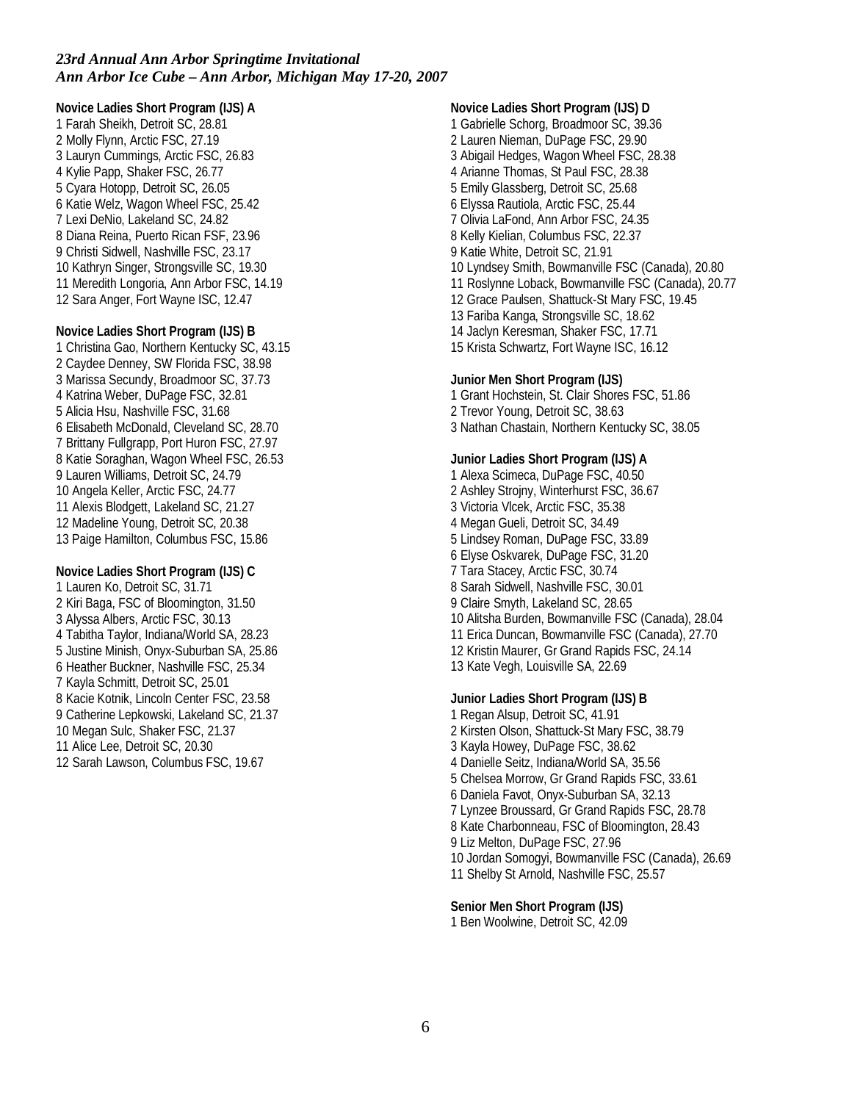**Novice Ladies Short Program (IJS) A** 1 Farah Sheikh, Detroit SC, 28.81 2 Molly Flynn, Arctic FSC, 27.19 3 Lauryn Cummings, Arctic FSC, 26.83 4 Kylie Papp, Shaker FSC, 26.77 5 Cyara Hotopp, Detroit SC, 26.05 6 Katie Welz, Wagon Wheel FSC, 25.42 7 Lexi DeNio, Lakeland SC, 24.82 8 Diana Reina, Puerto Rican FSF, 23.96 9 Christi Sidwell, Nashville FSC, 23.17 10 Kathryn Singer, Strongsville SC, 19.30 11 Meredith Longoria, Ann Arbor FSC, 14.19 12 Sara Anger, Fort Wayne ISC, 12.47

**Novice Ladies Short Program (IJS) B** 1 Christina Gao, Northern Kentucky SC, 43.15 2 Caydee Denney, SW Florida FSC, 38.98 3 Marissa Secundy, Broadmoor SC, 37.73 4 Katrina Weber, DuPage FSC, 32.81 5 Alicia Hsu, Nashville FSC, 31.68 6 Elisabeth McDonald, Cleveland SC, 28.70 7 Brittany Fullgrapp, Port Huron FSC, 27.97 8 Katie Soraghan, Wagon Wheel FSC, 26.53 9 Lauren Williams, Detroit SC, 24.79 10 Angela Keller, Arctic FSC, 24.77 11 Alexis Blodgett, Lakeland SC, 21.27 12 Madeline Young, Detroit SC, 20.38 13 Paige Hamilton, Columbus FSC, 15.86

**Novice Ladies Short Program (IJS) C** 1 Lauren Ko, Detroit SC, 31.71 2 Kiri Baga, FSC of Bloomington, 31.50 3 Alyssa Albers, Arctic FSC, 30.13 4 Tabitha Taylor, Indiana/World SA, 28.23 5 Justine Minish, Onyx-Suburban SA, 25.86 6 Heather Buckner, Nashville FSC, 25.34 7 Kayla Schmitt, Detroit SC, 25.01 8 Kacie Kotnik, Lincoln Center FSC, 23.58 9 Catherine Lepkowski, Lakeland SC, 21.37 10 Megan Sulc, Shaker FSC, 21.37 11 Alice Lee, Detroit SC, 20.30 12 Sarah Lawson, Columbus FSC, 19.67

**Novice Ladies Short Program (IJS) D** 1 Gabrielle Schorg, Broadmoor SC, 39.36 2 Lauren Nieman, DuPage FSC, 29.90 3 Abigail Hedges, Wagon Wheel FSC, 28.38 4 Arianne Thomas, St Paul FSC, 28.38 5 Emily Glassberg, Detroit SC, 25.68 6 Elyssa Rautiola, Arctic FSC, 25.44 7 Olivia LaFond, Ann Arbor FSC, 24.35 8 Kelly Kielian, Columbus FSC, 22.37 9 Katie White, Detroit SC, 21.91 10 Lyndsey Smith, Bowmanville FSC (Canada), 20.80 11 Roslynne Loback, Bowmanville FSC (Canada), 20.77 12 Grace Paulsen, Shattuck-St Mary FSC, 19.45 13 Fariba Kanga, Strongsville SC, 18.62 14 Jaclyn Keresman, Shaker FSC, 17.71 15 Krista Schwartz, Fort Wayne ISC, 16.12 **Junior Men Short Program (IJS)** 1 Grant Hochstein, St. Clair Shores FSC, 51.86 2 Trevor Young, Detroit SC, 38.63 3 Nathan Chastain, Northern Kentucky SC, 38.05 **Junior Ladies Short Program (IJS) A** 1 Alexa Scimeca, DuPage FSC, 40.50 2 Ashley Strojny, Winterhurst FSC, 36.67 3 Victoria Vlcek, Arctic FSC, 35.38 4 Megan Gueli, Detroit SC, 34.49 5 Lindsey Roman, DuPage FSC, 33.89 6 Elyse Oskvarek, DuPage FSC, 31.20 7 Tara Stacey, Arctic FSC, 30.74 8 Sarah Sidwell, Nashville FSC, 30.01 9 Claire Smyth, Lakeland SC, 28.65 10 Alitsha Burden, Bowmanville FSC (Canada), 28.04 11 Erica Duncan, Bowmanville FSC (Canada), 27.70 12 Kristin Maurer, Gr Grand Rapids FSC, 24.14 13 Kate Vegh, Louisville SA, 22.69 **Junior Ladies Short Program (IJS) B**

1 Regan Alsup, Detroit SC, 41.91 2 Kirsten Olson, Shattuck-St Mary FSC, 38.79 3 Kayla Howey, DuPage FSC, 38.62 4 Danielle Seitz, Indiana/World SA, 35.56 5 Chelsea Morrow, Gr Grand Rapids FSC, 33.61 6 Daniela Favot, Onyx-Suburban SA, 32.13 7 Lynzee Broussard, Gr Grand Rapids FSC, 28.78 8 Kate Charbonneau, FSC of Bloomington, 28.43 9 Liz Melton, DuPage FSC, 27.96 10 Jordan Somogyi, Bowmanville FSC (Canada), 26.69 11 Shelby St Arnold, Nashville FSC, 25.57

**Senior Men Short Program (IJS)** 1 Ben Woolwine, Detroit SC, 42.09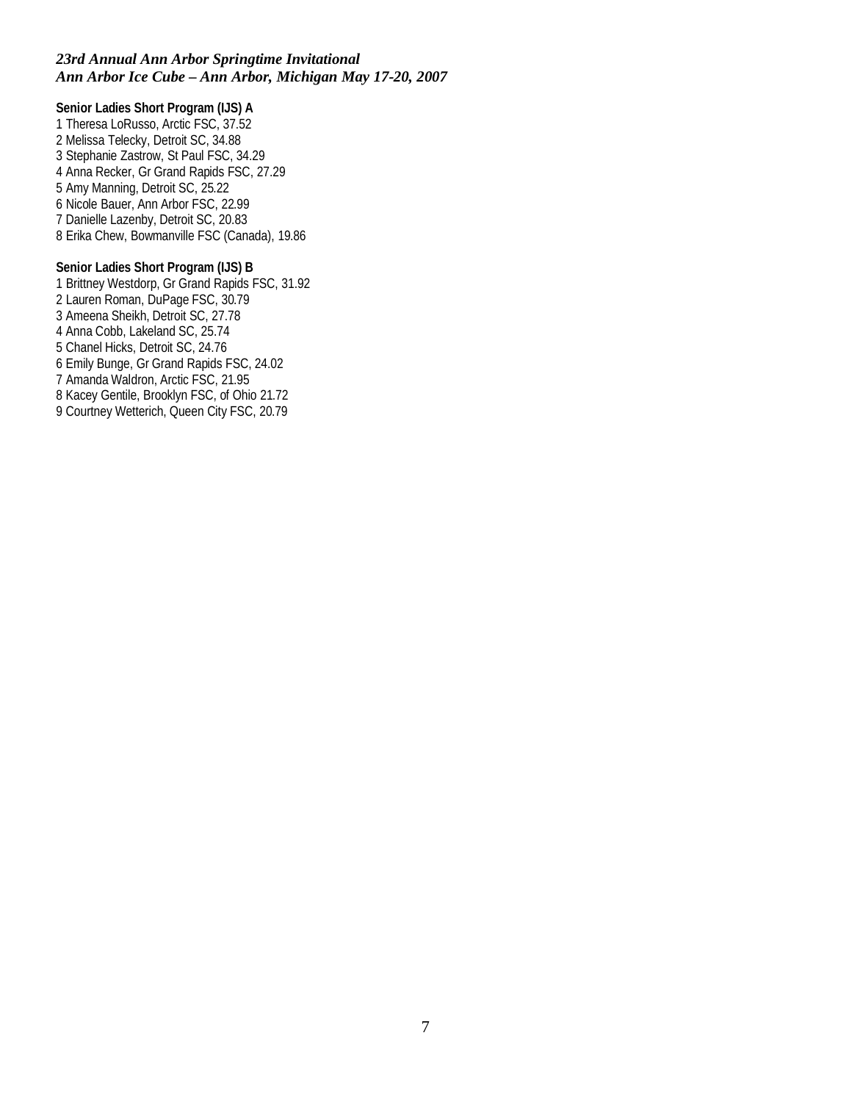**Senior Ladies Short Program (IJS) A** 1 Theresa LoRusso, Arctic FSC, 37.52 2 Melissa Telecky, Detroit SC, 34.88 3 Stephanie Zastrow, St Paul FSC, 34.29 4 Anna Recker, Gr Grand Rapids FSC, 27.29 5 Amy Manning, Detroit SC, 25.22 6 Nicole Bauer, Ann Arbor FSC, 22.99 7 Danielle Lazenby, Detroit SC, 20.83 8 Erika Chew, Bowmanville FSC (Canada), 19.86

**Senior Ladies Short Program (IJS) B** 1 Brittney Westdorp, Gr Grand Rapids FSC, 31.92 2 Lauren Roman, DuPage FSC, 30.79 3 Ameena Sheikh, Detroit SC, 27.78 4 Anna Cobb, Lakeland SC, 25.74 5 Chanel Hicks, Detroit SC, 24.76 6 Emily Bunge, Gr Grand Rapids FSC, 24.02 7 Amanda Waldron, Arctic FSC, 21.95 8 Kacey Gentile, Brooklyn FSC, of Ohio 21.72 9 Courtney Wetterich, Queen City FSC, 20.79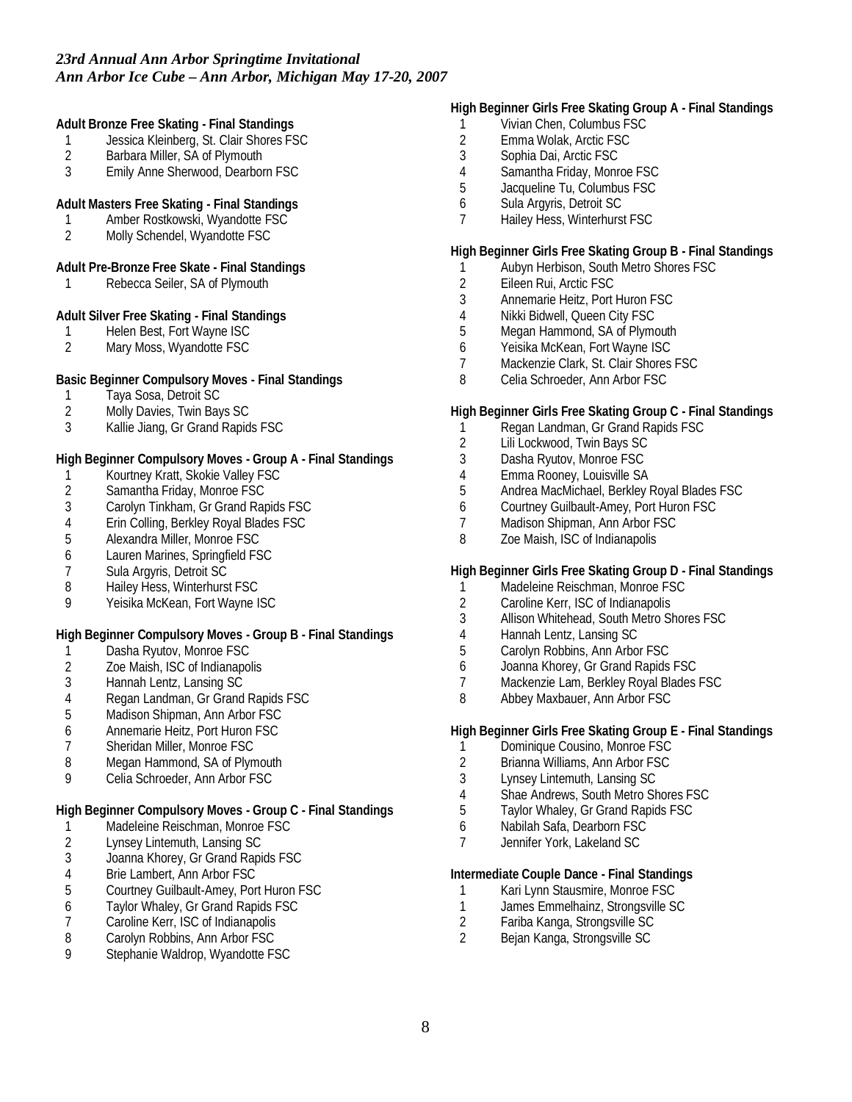**Adult Bronze Free Skating - Final Standings**

- 1 Jessica Kleinberg, St. Clair Shores FSC<br>2 Barbara Miller. SA of Plymouth
- 2 Barbara Miller, SA of Plymouth<br>3 Emily Anne Sherwood, Dearbor
- Emily Anne Sherwood, Dearborn FSC

#### **Adult Masters Free Skating - Final Standings**

- 1 Amber Rostkowski, Wyandotte FSC
- 2 Molly Schendel, Wyandotte FSC

#### **Adult Pre-Bronze Free Skate - Final Standings**

1 Rebecca Seiler, SA of Plymouth

**Adult Silver Free Skating - Final Standings**

- 1 Helen Best, Fort Wayne ISC
- 2 Mary Moss, Wyandotte FSC

**Basic Beginner Compulsory Moves - Final Standings**

- 
- 1 Taya Sosa, Detroit SC<br>2 Molly Davies, Twin Bay 2 Molly Davies, Twin Bays SC
- 3 Kallie Jiang, Gr Grand Rapids FSC

**High Beginner Compulsory Moves - Group A - Final Standings**

- 1 Kourtney Kratt, Skokie Valley FSC<br>2 Samantha Friday, Monroe FSC
- Samantha Friday, Monroe FSC
- 3 Carolyn Tinkham, Gr Grand Rapids FSC
- 4 Erin Colling, Berkley Royal Blades FSC<br>5 Alexandra Miller, Monroe FSC
- 5 Alexandra Miller, Monroe FSC
- 6 Lauren Marines, Springfield FSC
- 7 Sula Argyris, Detroit SC
- 8 Hailey Hess, Winterhurst FSC
- 9 Yeisika McKean, Fort Wayne ISC

**High Beginner Compulsory Moves - Group B - Final Standings**

- 1 Dasha Ryutov, Monroe FSC<br>2 Zoe Maish, ISC of Indianapol
- 2 Zoe Maish, ISC of Indianapolis
- 3 Hannah Lentz, Lansing SC
- 4 Regan Landman, Gr Grand Rapids FSC
- 5 Madison Shipman, Ann Arbor FSC
- 6 Annemarie Heitz, Port Huron FSC
- 7 Sheridan Miller, Monroe FSC
- 8 Megan Hammond, SA of Plymouth
- 9 Celia Schroeder, Ann Arbor FSC

**High Beginner Compulsory Moves - Group C - Final Standings**

- 1 Madeleine Reischman, Monroe FSC
- 2 Lynsey Lintemuth, Lansing SC<br>3 Joanna Khorey, Gr Grand Rapi
- Joanna Khorey, Gr Grand Rapids FSC
- 4 Brie Lambert, Ann Arbor FSC
- 5 Courtney Guilbault-Amey, Port Huron FSC
- 6 Taylor Whaley, Gr Grand Rapids FSC
- 7 Caroline Kerr, ISC of Indianapolis
- 8 Carolyn Robbins, Ann Arbor FSC
- 9 Stephanie Waldrop, Wyandotte FSC

### **High Beginner Girls Free Skating Group A - Final Standings**

- 1 Vivian Chen, Columbus FSC
- 2 Emma Wolak, Arctic FSC
- 3 Sophia Dai, Arctic FSC
- 4 Samantha Friday, Monroe FSC
- 5 Jacqueline Tu, Columbus FSC
- 6 Sula Argyris, Detroit SC
- 7 Hailey Hess, Winterhurst FSC

## **High Beginner Girls Free Skating Group B - Final Standings**

- 1 Aubyn Herbison, South Metro Shores FSC<br>2 Eileen Rui, Arctic FSC
- 2 Eileen Rui, Arctic FSC
- 3 Annemarie Heitz, Port Huron FSC
- 4 Nikki Bidwell, Queen City FSC<br>5 Meaan Hammond. SA of Plyme
- Megan Hammond, SA of Plymouth
- 6 Yeisika McKean, Fort Wayne ISC
- 7 Mackenzie Clark, St. Clair Shores FSC
- 8 Celia Schroeder, Ann Arbor FSC

**High Beginner Girls Free Skating Group C - Final Standings**

- 1 Regan Landman, Gr Grand Rapids FSC
- 2 Lili Lockwood, Twin Bays SC
- 3 Dasha Ryutov, Monroe FSC
- 4 Emma Rooney, Louisville SA<br>5 Andrea MacMichael, Berkley I
- 5 Andrea MacMichael, Berkley Royal Blades FSC
- 6 Courtney Guilbault-Amey, Port Huron FSC
- 7 Madison Shipman, Ann Arbor FSC<br>8 70e Maish. ISC of Indianapolis
- Zoe Maish, ISC of Indianapolis

**High Beginner Girls Free Skating Group D - Final Standings**

- 1 Madeleine Reischman, Monroe FSC<br>2 Caroline Kerr. ISC of Indianapolis
- 2 Caroline Kerr, ISC of Indianapolis
- 3 Allison Whitehead, South Metro Shores FSC
- 4 Hannah Lentz, Lansing SC<br>5 Carolyn Robbins, Ann Arbo
- 5 Carolyn Robbins, Ann Arbor FSC
- 6 Joanna Khorey, Gr Grand Rapids FSC
- 7 Mackenzie Lam, Berkley Royal Blades FSC
- 8 Abbey Maxbauer, Ann Arbor FSC

**High Beginner Girls Free Skating Group E - Final Standings**

- 1 Dominique Cousino, Monroe FSC
- 2 Brianna Williams, Ann Arbor FSC
- 3 Lynsey Lintemuth, Lansing SC
- 4 Shae Andrews, South Metro Shores FSC
- 5 Taylor Whaley, Gr Grand Rapids FSC
- 6 Nabilah Safa, Dearborn FSC
- 7 Jennifer York, Lakeland SC

**Intermediate Couple Dance - Final Standings**

- 1 Kari Lynn Stausmire, Monroe FSC
- 1 James Emmelhainz, Strongsville SC<br>2 Fariba Kanga, Strongsville SC
- 2 Fariba Kanga, Strongsville SC
- 2 Bejan Kanga, Strongsville SC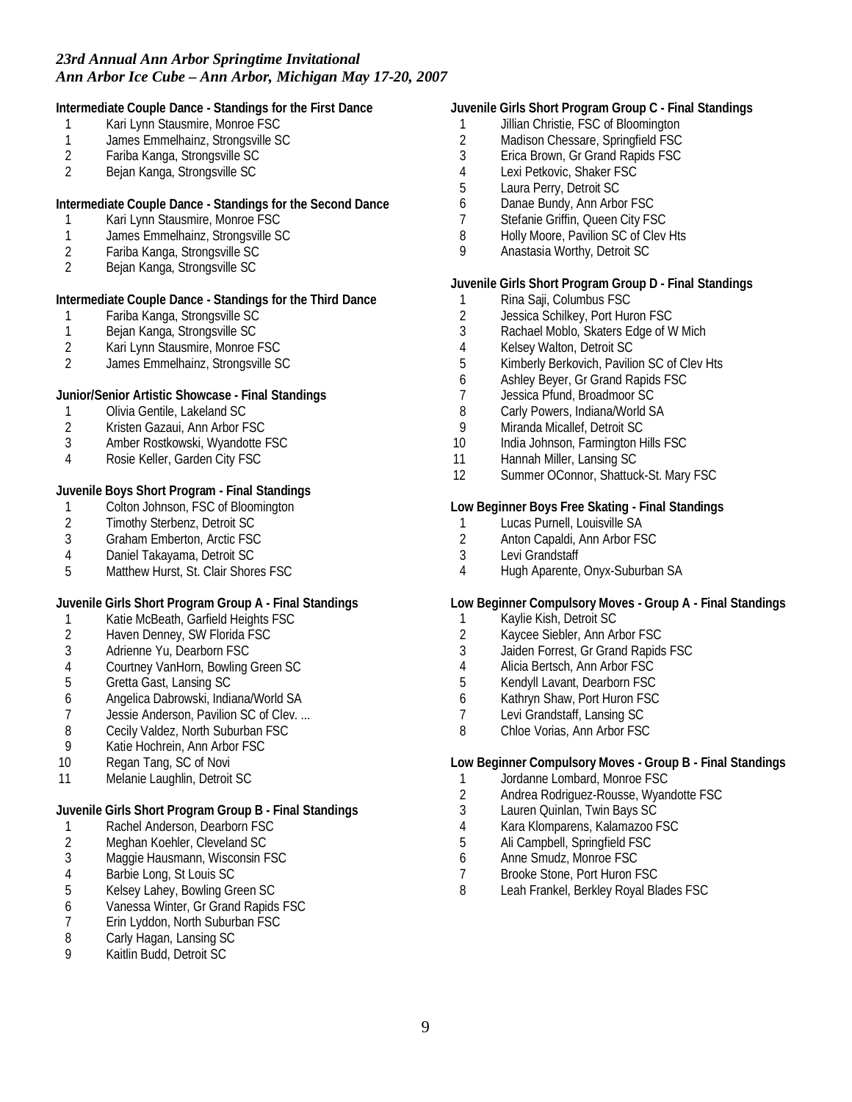**Intermediate Couple Dance - Standings for the First Dance**

- 1 Kari Lynn Stausmire, Monroe FSC<br>1 James Emmelhainz, Strongsville So
- 1 James Emmelhainz, Strongsville SC<br>2 Fariba Kanga, Strongsville SC
- 2 Fariba Kanga, Strongsville SC<br>2 Beian Kanga, Strongsville SC
- 2 Bejan Kanga, Strongsville SC

**Intermediate Couple Dance - Standings for the Second Dance**

- 1 Kari Lynn Stausmire, Monroe FSC
- 1 James Emmelhainz, Strongsville SC
- 2 Fariba Kanga, Strongsville SC<br>2 Beian Kanga, Strongsville SC
- 2 Bejan Kanga, Strongsville SC

**Intermediate Couple Dance - Standings for the Third Dance**

- 1 Fariba Kanga, Strongsville SC<br>1 Beian Kanga, Strongsville SC
- Bejan Kanga, Strongsville SC
- 2 Kari Lynn Stausmire, Monroe FSC<br>2 James Emmelhainz, Strongsville St
- 2 James Emmelhainz, Strongsville SC

**Junior/Senior Artistic Showcase - Final Standings**

- 1 Olivia Gentile, Lakeland SC
- 2 Kristen Gazaui, Ann Arbor FSC
- 3 Amber Rostkowski, Wyandotte FSC
- 4 Rosie Keller, Garden City FSC

**Juvenile Boys Short Program - Final Standings**

- 1 Colton Johnson, FSC of Bloomington<br>2 Timothy Sterbenz, Detroit SC
- 2 Timothy Sterbenz, Detroit SC<br>3 Graham Emberton. Arctic FSC
- 3 Graham Emberton, Arctic FSC
- 4 Daniel Takayama, Detroit SC
- 5 Matthew Hurst, St. Clair Shores FSC

**Juvenile Girls Short Program Group A - Final Standings**

- 1 Katie McBeath, Garfield Heights FSC<br>2 Haven Denney, SW Florida FSC
- 2 Haven Denney, SW Florida FSC<br>3 Adrienne Yu, Dearborn FSC
- Adrienne Yu, Dearborn FSC
- 4 Courtney VanHorn, Bowling Green SC<br>5 Gretta Gast, Lansing SC
- 5 Gretta Gast, Lansing SC
- 6 Angelica Dabrowski, Indiana/World SA
- 7 Jessie Anderson, Pavilion SC of Clev. ...
- 8 Cecily Valdez, North Suburban FSC
- 9 Katie Hochrein, Ann Arbor FSC
- 10 Regan Tang, SC of Novi
- 11 Melanie Laughlin, Detroit SC

**Juvenile Girls Short Program Group B - Final Standings**

- 1 Rachel Anderson, Dearborn FSC
- 2 Meghan Koehler, Cleveland SC<br>3 Maggie Hausmann, Wisconsin F
- Maggie Hausmann, Wisconsin FSC
- 4 Barbie Long, St Louis SC
- 5 Kelsey Lahey, Bowling Green SC
- 6 Vanessa Winter, Gr Grand Rapids FSC
- 7 Erin Lyddon, North Suburban FSC
- 8 Carly Hagan, Lansing SC
- 9 Kaitlin Budd, Detroit SC

## **Juvenile Girls Short Program Group C - Final Standings**

- 1 Jillian Christie, FSC of Bloomington<br>2 Madison Chessare, Springfield FSC
- 2 Madison Chessare, Springfield FSC<br>3 Erica Brown, Gr Grand Rapids FSC
- 3 Erica Brown, Gr Grand Rapids FSC
- 4 Lexi Petkovic, Shaker FSC
- 5 Laura Perry, Detroit SC
- 6 Danae Bundy, Ann Arbor FSC
- 7 Stefanie Griffin, Queen City FSC
- 8 Holly Moore, Pavilion SC of Clev Hts
- 9 Anastasia Worthy, Detroit SC

## **Juvenile Girls Short Program Group D - Final Standings**

- 1 Rina Saji, Columbus FSC<br>2 Jessica Schilkey, Port Hur
- Jessica Schilkey, Port Huron FSC
- 3 Rachael Moblo, Skaters Edge of W Mich
- 4 Kelsey Walton, Detroit SC
- 5 Kimberly Berkovich, Pavilion SC of Clev Hts
- 6 Ashley Beyer, Gr Grand Rapids FSC
- 7 Jessica Pfund, Broadmoor SC
- 8 Carly Powers, Indiana/World SA
- 9 Miranda Micallef, Detroit SC
- 10 India Johnson, Farmington Hills FSC
- 11 Hannah Miller, Lansing SC
- 12 Summer OConnor, Shattuck-St. Mary FSC

# **Low Beginner Boys Free Skating - Final Standings**

- 1 Lucas Purnell, Louisville SA<br>2 Anton Capaldi. Ann Arbor FS
- Anton Capaldi, Ann Arbor FSC
- 3 Levi Grandstaff
- 4 Hugh Aparente, Onyx-Suburban SA

#### **Low Beginner Compulsory Moves - Group A - Final Standings**

- 1 Kaylie Kish, Detroit SC<br>2 Kaycee Siebler, Ann Ar
- 2 Kaycee Siebler, Ann Arbor FSC<br>3 Jaiden Forrest. Gr Grand Rapids
- Jaiden Forrest, Gr Grand Rapids FSC
- 4 Alicia Bertsch, Ann Arbor FSC
- 5 Kendyll Lavant, Dearborn FSC
- 6 Kathryn Shaw, Port Huron FSC<br>7 Levi Grandstaff. Lansing SC
- Levi Grandstaff, Lansing SC
- 8 Chloe Vorias, Ann Arbor FSC

**Low Beginner Compulsory Moves - Group B - Final Standings**

- 1 Jordanne Lombard, Monroe FSC
- 2 Andrea Rodriguez-Rousse, Wyandotte FSC
- 3 Lauren Quinlan, Twin Bays SC
- 4 Kara Klomparens, Kalamazoo FSC
- 5 Ali Campbell, Springfield FSC
- 6 Anne Smudz, Monroe FSC
- 7 Brooke Stone, Port Huron FSC
- 8 Leah Frankel, Berkley Royal Blades FSC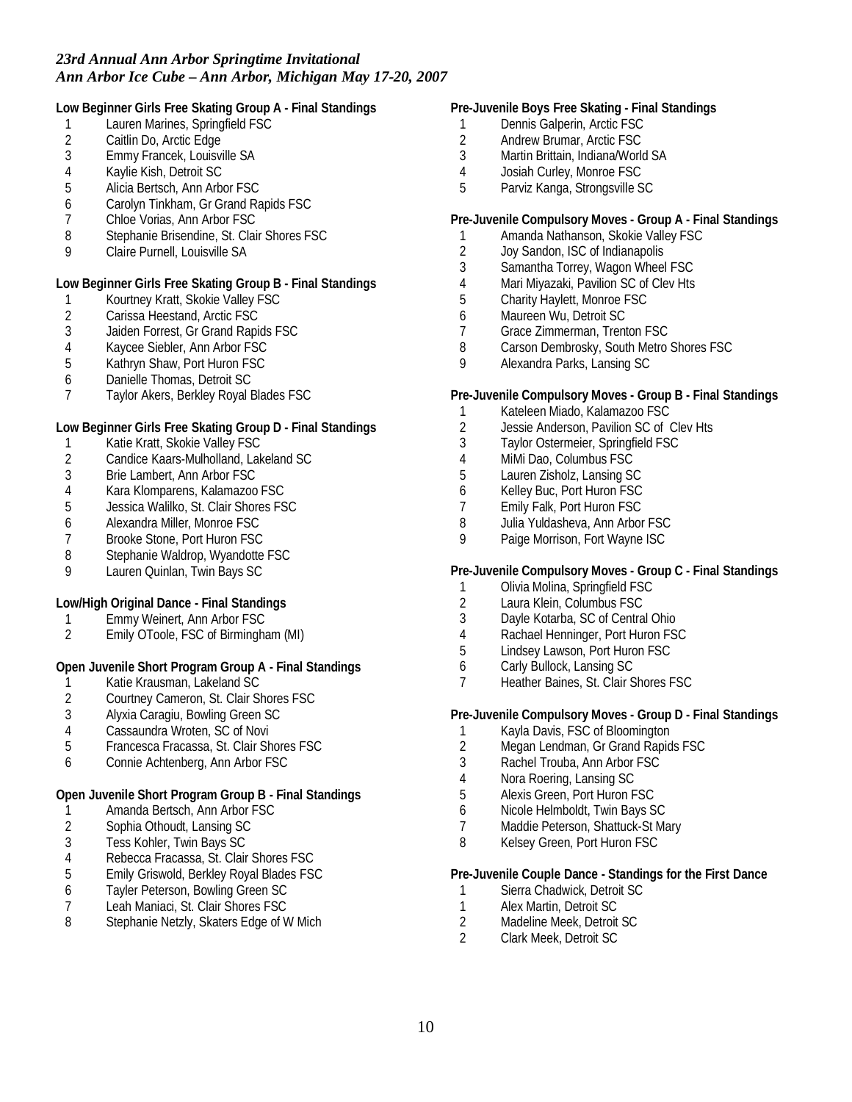**Low Beginner Girls Free Skating Group A - Final Standings**

- 1 Lauren Marines, Springfield FSC<br>2 Caitlin Do. Arctic Edge
- 2 Caitlin Do, Arctic Edge<br>3 Emmy Francek, Louisvi
- 3 Emmy Francek, Louisville SA<br>4 Kavlie Kish, Detroit SC
- 4 Kaylie Kish, Detroit SC
- 5 Alicia Bertsch, Ann Arbor FSC
- 6 Carolyn Tinkham, Gr Grand Rapids FSC
- 7 Chloe Vorias, Ann Arbor FSC
- 8 Stephanie Brisendine, St. Clair Shores FSC
- 9 Claire Purnell, Louisville SA

**Low Beginner Girls Free Skating Group B - Final Standings**

- 1 Kourtney Kratt, Skokie Valley FSC<br>2 Carissa Heestand, Arctic FSC
- 2 Carissa Heestand, Arctic FSC<br>3 Jaiden Forrest, Gr Grand Rapi
- 3 Jaiden Forrest, Gr Grand Rapids FSC
- 4 Kaycee Siebler, Ann Arbor FSC<br>5 Kathrvn Shaw, Port Huron FSC
- 5 Kathryn Shaw, Port Huron FSC
- 6 Danielle Thomas, Detroit SC
- 7 Taylor Akers, Berkley Royal Blades FSC

**Low Beginner Girls Free Skating Group D - Final Standings**

- 1 Katie Kratt, Skokie Valley FSC<br>2 Candice Kaars-Mulholland, Lak
- 2 Candice Kaars-Mulholland, Lakeland SC<br>3 Brie Lambert, Ann Arbor FSC
- 3 Brie Lambert, Ann Arbor FSC<br>4 Kara Klomparens, Kalamazoo
- 4 Kara Klomparens, Kalamazoo FSC
- 5 Jessica Walilko, St. Clair Shores FSC
- 6 Alexandra Miller, Monroe FSC
- 7 Brooke Stone, Port Huron FSC
- 8 Stephanie Waldrop, Wyandotte FSC
- 9 Lauren Quinlan, Twin Bays SC

**Low/High Original Dance - Final Standings**

- 1 Emmy Weinert, Ann Arbor FSC<br>2 Emily OToole, FSC of Birmingha
- 2 Emily OToole, FSC of Birmingham (MI)

**Open Juvenile Short Program Group A - Final Standings**

- 1 Katie Krausman, Lakeland SC<br>2 Courtney Cameron, St. Clair SI
- 2 Courtney Cameron, St. Clair Shores FSC
- 3 Alyxia Caragiu, Bowling Green SC
- 4 Cassaundra Wroten, SC of Novi
- 5 Francesca Fracassa, St. Clair Shores FSC
- 6 Connie Achtenberg, Ann Arbor FSC

**Open Juvenile Short Program Group B - Final Standings**

- 1 Amanda Bertsch, Ann Arbor FSC<br>2 Sophia Othoudt, Lansing SC
- 2 Sophia Othoudt, Lansing SC
- 3 Tess Kohler, Twin Bays SC<br>4 Rebecca Fracassa, St. Clair
- Rebecca Fracassa, St. Clair Shores FSC
- 5 Emily Griswold, Berkley Royal Blades FSC
- 6 Tayler Peterson, Bowling Green SC
- Leah Maniaci, St. Clair Shores FSC
- 8 Stephanie Netzly, Skaters Edge of W Mich
- **Pre-Juvenile Boys Free Skating Final Standings**
	- 1 Dennis Galperin, Arctic FSC<br>2 Andrew Brumar. Arctic FSC
	- 2 Andrew Brumar, Arctic FSC<br>3 Martin Brittain, Indiana/Work
- 3 Martin Brittain, Indiana/World SA
- 4 Josiah Curley, Monroe FSC
- 5 Parviz Kanga, Strongsville SC

**Pre-Juvenile Compulsory Moves - Group A - Final Standings**

- 1 Amanda Nathanson, Skokie Valley FSC
- 2 Joy Sandon, ISC of Indianapolis<br>3 Samantha Torrev. Wagon Wheel
- Samantha Torrey, Wagon Wheel FSC
- 4 Mari Miyazaki, Pavilion SC of Clev Hts
- 5 Charity Haylett, Monroe FSC
- 6 Maureen Wu, Detroit SC<br>7 Grace Zimmerman. Trent
- 7 Grace Zimmerman, Trenton FSC
- 8 Carson Dembrosky, South Metro Shores FSC
- 9 Alexandra Parks, Lansing SC

### **Pre-Juvenile Compulsory Moves - Group B - Final Standings**

- 1 Kateleen Miado, Kalamazoo FSC
- 2 Jessie Anderson, Pavilion SC of Clev Hts
- 3 Taylor Ostermeier, Springfield FSC
- 
- 4 MiMi Dao, Columbus FSC<br>5 Lauren Zisholz, Lansing So 5 Lauren Zisholz, Lansing SC
- 6 Kelley Buc, Port Huron FSC<br>7 Emily Falk, Port Huron FSC
- Emily Falk, Port Huron FSC
- 8 Julia Yuldasheva, Ann Arbor FSC<br>9 Paige Morrison, Fort Wayne ISC
- Paige Morrison, Fort Wayne ISC

**Pre-Juvenile Compulsory Moves - Group C - Final Standings**

- 1 Olivia Molina, Springfield FSC<br>2 Laura Klein. Columbus FSC
- 2 Laura Klein, Columbus FSC
- 3 Dayle Kotarba, SC of Central Ohio
- 4 Rachael Henninger, Port Huron FSC<br>5 Lindsey Lawson. Port Huron FSC
- 5 Lindsey Lawson, Port Huron FSC
- 6 Carly Bullock, Lansing SC
- 7 Heather Baines, St. Clair Shores FSC

**Pre-Juvenile Compulsory Moves - Group D - Final Standings**

- 1 Kayla Davis, FSC of Bloomington
- 2 Megan Lendman, Gr Grand Rapids FSC
- 3 Rachel Trouba, Ann Arbor FSC
- 4 Nora Roering, Lansing SC
- 5 Alexis Green, Port Huron FSC
- 6 Nicole Helmboldt, Twin Bays SC
- Maddie Peterson, Shattuck-St Mary
- 8 Kelsey Green, Port Huron FSC

**Pre-Juvenile Couple Dance - Standings for the First Dance**

- 1 Sierra Chadwick, Detroit SC
- 1 Alex Martin, Detroit SC<br>2 Madeline Meek. Detroit
- 2 Madeline Meek, Detroit SC
- 2 Clark Meek, Detroit SC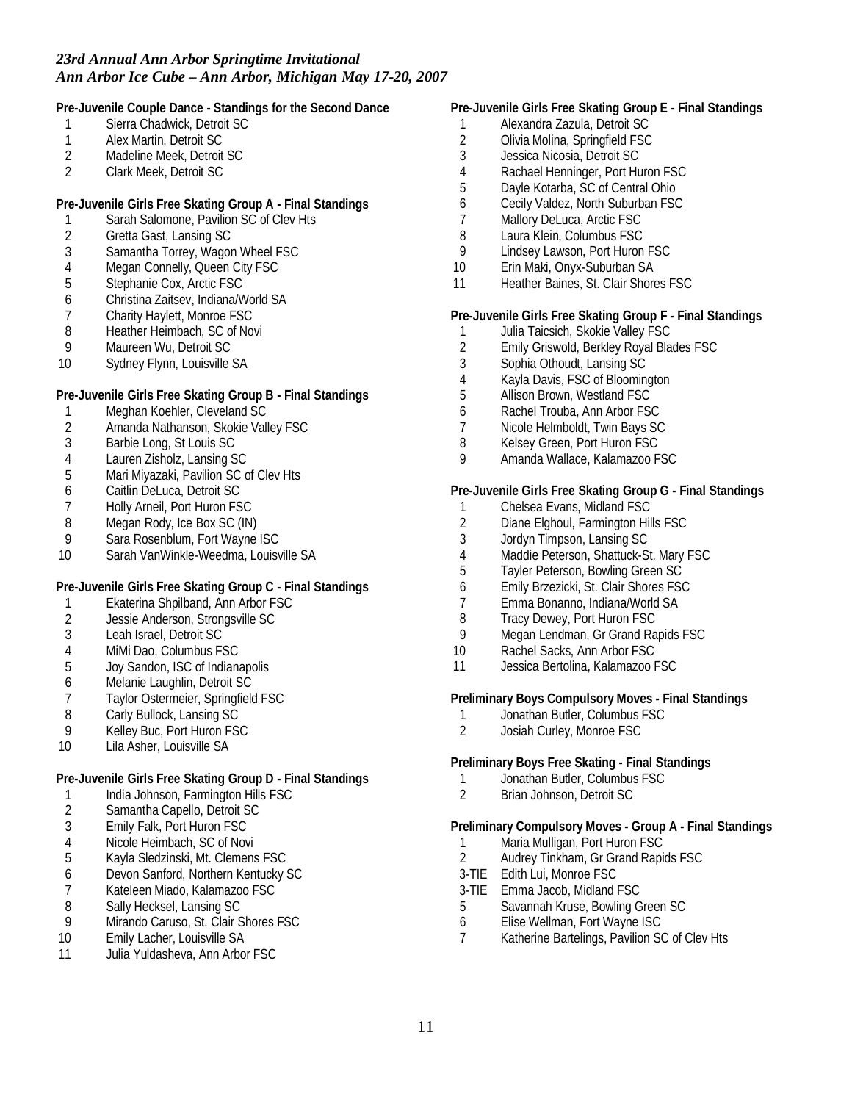**Pre-Juvenile Couple Dance - Standings for the Second Dance**

- 1 Sierra Chadwick, Detroit SC<br>1 Alex Martin, Detroit SC
- 1 Alex Martin, Detroit SC<br>2 Madeline Meek. Detroit
- 2 Madeline Meek, Detroit SC<br>2 Clark Meek Detroit SC
- 2 Clark Meek, Detroit SC

**Pre-Juvenile Girls Free Skating Group A - Final Standings**

- 1 Sarah Salomone, Pavilion SC of Clev Hts<br>2 Gretta Gast, Lansing SC
- 2 Gretta Gast, Lansing SC
- 3 Samantha Torrey, Wagon Wheel FSC<br>4 Megan Connelly, Queen City FSC
- 4 Megan Connelly, Queen City FSC<br>5 Stephanie Cox, Arctic FSC
- 5 Stephanie Cox, Arctic FSC
- 6 Christina Zaitsev, Indiana/World SA<br>7 Charity Havlett. Monroe FSC
- 7 Charity Haylett, Monroe FSC
- 8 Heather Heimbach, SC of Novi
- 9 Maureen Wu, Detroit SC
- 10 Sydney Flynn, Louisville SA

**Pre-Juvenile Girls Free Skating Group B - Final Standings**

- 1 Meghan Koehler, Cleveland SC<br>2 Amanda Nathanson, Skokie Vall
- 2 Amanda Nathanson, Skokie Valley FSC
- 3 Barbie Long, St Louis SC
- 
- 4 Lauren Zisholz, Lansing SC Mari Miyazaki, Pavilion SC of Clev Hts
- 6 Caitlin DeLuca, Detroit SC
- 7 Holly Arneil, Port Huron FSC
- 8 Megan Rody, Ice Box SC (IN)<br>9 Sara Rosenblum, Fort Wayne
- Sara Rosenblum, Fort Wayne ISC
- 10 Sarah VanWinkle-Weedma, Louisville SA

**Pre-Juvenile Girls Free Skating Group C - Final Standings**

- 1 Ekaterina Shpilband, Ann Arbor FSC
- 2 Jessie Anderson, Strongsville SC<br>3 Leah Israel, Detroit SC
- Leah Israel, Detroit SC
- 
- 4 MiMi Dao, Columbus FSC<br>5 Joy Sandon, ISC of Indiana Joy Sandon, ISC of Indianapolis
- 6 Melanie Laughlin, Detroit SC
- 7 Taylor Ostermeier, Springfield FSC
- 8 Carly Bullock, Lansing SC
- 9 Kelley Buc, Port Huron FSC
- 10 Lila Asher, Louisville SA

**Pre-Juvenile Girls Free Skating Group D - Final Standings**

- 1 India Johnson, Farmington Hills FSC
- 2 Samantha Capello, Detroit SC<br>3 Emily Falk, Port Huron FSC
- Emily Falk, Port Huron FSC
- 4 Nicole Heimbach, SC of Novi<br>5 Kayla Sledzinski, Mt. Clemens
- 5 Kayla Sledzinski, Mt. Clemens FSC
- 6 Devon Sanford, Northern Kentucky SC
- 7 Kateleen Miado, Kalamazoo FSC
- 8 Sally Hecksel, Lansing SC<br>9 Mirando Caruso St Clair S
- Mirando Caruso, St. Clair Shores FSC
- 10 Emily Lacher, Louisville SA
- 11 Julia Yuldasheva, Ann Arbor FSC

### **Pre-Juvenile Girls Free Skating Group E - Final Standings**

- 1 Alexandra Zazula, Detroit SC<br>2 Olivia Molina, Springfield FSC
- 2 Olivia Molina, Springfield FSC<br>3 Jessica Nicosia, Detroit SC
- 3 Jessica Nicosia, Detroit SC<br>4 Rachael Henninger, Port Hu
- Rachael Henninger, Port Huron FSC
- 5 Dayle Kotarba, SC of Central Ohio
- 6 Cecily Valdez, North Suburban FSC
- 7 Mallory DeLuca, Arctic FSC
- 8 Laura Klein, Columbus FSC
- 9 Lindsey Lawson, Port Huron FSC
- 10 Erin Maki, Onyx-Suburban SA
- 11 Heather Baines, St. Clair Shores FSC

**Pre-Juvenile Girls Free Skating Group F - Final Standings**

- 1 Julia Taicsich, Skokie Valley FSC
- 2 Emily Griswold, Berkley Royal Blades FSC
- 3 Sophia Othoudt, Lansing SC
- 4 Kayla Davis, FSC of Bloomington
- 5 Allison Brown, Westland FSC
- 6 Rachel Trouba, Ann Arbor FSC
- 7 Nicole Helmboldt, Twin Bays SC
- 8 Kelsey Green, Port Huron FSC
- 9 Amanda Wallace, Kalamazoo FSC

**Pre-Juvenile Girls Free Skating Group G - Final Standings**

- 1 Chelsea Evans, Midland FSC
- 2 Diane Elghoul, Farmington Hills FSC
- 3 Jordyn Timpson, Lansing SC
- 4 Maddie Peterson, Shattuck-St. Mary FSC
- 5 Tayler Peterson, Bowling Green SC
- 6 Emily Brzezicki, St. Clair Shores FSC
- 7 Emma Bonanno, Indiana/World SA
- 8 Tracy Dewey, Port Huron FSC<br>9 Megan Lendman, Gr Grand Ra
- Megan Lendman, Gr Grand Rapids FSC
- 10 Rachel Sacks, Ann Arbor FSC
- 11 Jessica Bertolina, Kalamazoo FSC

**Preliminary Boys Compulsory Moves - Final Standings**

- 1 Jonathan Butler, Columbus FSC
- 2 Josiah Curley, Monroe FSC

**Preliminary Boys Free Skating - Final Standings**

- 1 Jonathan Butler, Columbus FSC<br>2 Brian Johnson, Detroit SC
- 2 Brian Johnson, Detroit SC

**Preliminary Compulsory Moves - Group A - Final Standings**

- 1 Maria Mulligan, Port Huron FSC<br>2 Audrey Tinkham, Gr Grand Rapi
- 2 Audrey Tinkham, Gr Grand Rapids FSC
- 3-TIE Edith Lui, Monroe FSC
- 3-TIE Emma Jacob, Midland FSC
- 5 Savannah Kruse, Bowling Green SC
- 6 Elise Wellman, Fort Wayne ISC
- 7 Katherine Bartelings, Pavilion SC of Clev Hts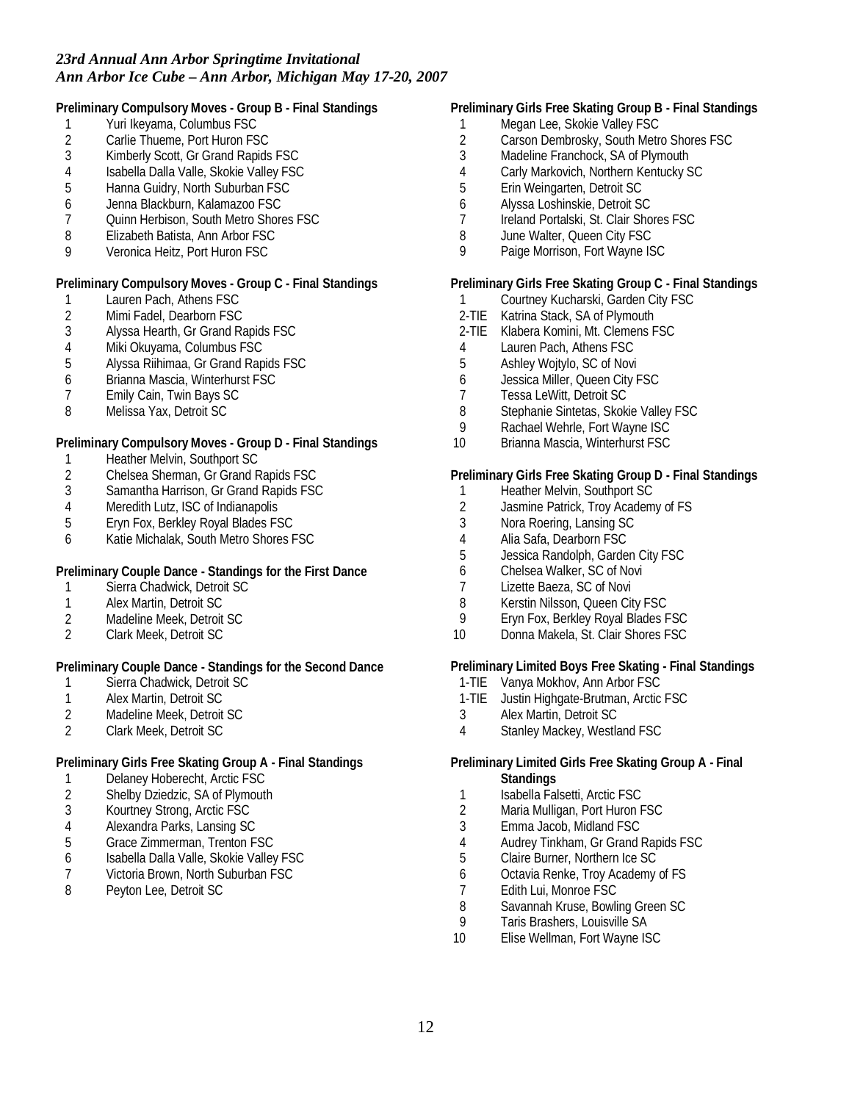**Preliminary Compulsory Moves - Group B - Final Standings**

- 1 Yuri Ikeyama, Columbus FSC<br>2 Carlie Thueme, Port Huron FS
- 2 Carlie Thueme, Port Huron FSC<br>3 Kimberly Scott, Gr Grand Rapids
- 3 Kimberly Scott, Gr Grand Rapids FSC<br>4 Sabella Dalla Valle, Skokie Vallev FSC
- Isabella Dalla Valle, Skokie Valley FSC
- 5 Hanna Guidry, North Suburban FSC
- 6 Jenna Blackburn, Kalamazoo FSC
- 7 Quinn Herbison, South Metro Shores FSC
- 8 Elizabeth Batista, Ann Arbor FSC
- 9 Veronica Heitz, Port Huron FSC

**Preliminary Compulsory Moves - Group C - Final Standings**

- 1 Lauren Pach, Athens FSC<br>2 Mimi Fadel, Dearborn FSC
- 2 Mimi Fadel, Dearborn FSC<br>3 Alvssa Hearth, Gr Grand R
- 3 Alyssa Hearth, Gr Grand Rapids FSC
- 4 Miki Okuyama, Columbus FSC<br>5 Alyssa Riihimaa, Gr Grand Rap
- 5 Alyssa Riihimaa, Gr Grand Rapids FSC
- 6 Brianna Mascia, Winterhurst FSC
- 7 Emily Cain, Twin Bays SC
- 8 Melissa Yax, Detroit SC

**Preliminary Compulsory Moves - Group D - Final Standings**

- 1 Heather Melvin, Southport SC<br>2 Chelsea Sherman, Gr Grand F
- 2 Chelsea Sherman, Gr Grand Rapids FSC<br>3 Samantha Harrison, Gr Grand Rapids FSC
- 3 Samantha Harrison, Gr Grand Rapids FSC
- 4 Meredith Lutz, ISC of Indianapolis<br>5 Ervn Fox. Berklev Roval Blades FS
- 5 Eryn Fox, Berkley Royal Blades FSC
- 6 Katie Michalak, South Metro Shores FSC

**Preliminary Couple Dance - Standings for the First Dance**

- 1 Sierra Chadwick, Detroit SC<br>1 Alex Martin, Detroit SC
- 1 Alex Martin, Detroit SC
- 2 Madeline Meek, Detroit SC<br>2 Clark Meek, Detroit SC
- 2 Clark Meek, Detroit SC

**Preliminary Couple Dance - Standings for the Second Dance**

- 1 Sierra Chadwick, Detroit SC<br>1 Alex Martin, Detroit SC
- Alex Martin, Detroit SC
- 2 Madeline Meek, Detroit SC
- 2 Clark Meek, Detroit SC

**Preliminary Girls Free Skating Group A - Final Standings**

- 
- 1 Delaney Hoberecht, Arctic FSC<br>2 Shelby Dziedzic, SA of Plymoutl Shelby Dziedzic, SA of Plymouth
- 3 Kourtney Strong, Arctic FSC<br>4 Alexandra Parks. Lansing SC
- 4 Alexandra Parks, Lansing SC
- 5 Grace Zimmerman, Trenton FSC
- 6 Isabella Dalla Valle, Skokie Valley FSC
- 7 Victoria Brown, North Suburban FSC
- 8 Peyton Lee, Detroit SC

## **Preliminary Girls Free Skating Group B - Final Standings**

- 1 Megan Lee, Skokie Valley FSC<br>2 Carson Dembrosky, South Metr
- 2 Carson Dembrosky, South Metro Shores FSC<br>3 Madeline Franchock, SA of Plymouth
- Madeline Franchock, SA of Plymouth
- 4 Carly Markovich, Northern Kentucky SC
- 5 Erin Weingarten, Detroit SC
- 6 Alyssa Loshinskie, Detroit SC
- 7 Ireland Portalski, St. Clair Shores FSC
- 8 June Walter, Queen City FSC
- 9 Paige Morrison, Fort Wayne ISC

#### **Preliminary Girls Free Skating Group C - Final Standings**

- 1 Courtney Kucharski, Garden City FSC<br>2-TIE Katrina Stack, SA of Plymouth
- Katrina Stack, SA of Plymouth
- 2-TIE Klabera Komini, Mt. Clemens FSC
- 4 Lauren Pach, Athens FSC
- 5 Ashley Wojtylo, SC of Novi
- 6 Jessica Miller, Queen City FSC
- 7 Tessa LeWitt, Detroit SC<br>8 Stephanie Sintetas, Skok
- Stephanie Sintetas, Skokie Valley FSC
- 9 Rachael Wehrle, Fort Wayne ISC
- 10 Brianna Mascia, Winterhurst FSC

**Preliminary Girls Free Skating Group D - Final Standings**

- 1 Heather Melvin, Southport SC<br>2 Jasmine Patrick, Troy Academ
- Jasmine Patrick, Troy Academy of FS
- 3 Nora Roering, Lansing SC
- 4 Alia Safa, Dearborn FSC
- 5 Jessica Randolph, Garden City FSC
- 6 Chelsea Walker, SC of Novi
- 7 Lizette Baeza, SC of Novi
- 8 Kerstin Nilsson, Queen City FSC
- 9 Eryn Fox, Berkley Royal Blades FSC<br>10 Donna Makela. St. Clair Shores FSC
- Donna Makela, St. Clair Shores FSC

**Preliminary Limited Boys Free Skating - Final Standings**

- 1-TIE Vanya Mokhov, Ann Arbor FSC
- 1-TIE Justin Highgate-Brutman, Arctic FSC
- 3 Alex Martin, Detroit SC
- 4 Stanley Mackey, Westland FSC

**Preliminary Limited Girls Free Skating Group A - Final Standings**

- 1 Isabella Falsetti, Arctic FSC
- 2 Maria Mulligan, Port Huron FSC<br>3 Emma Jacob, Midland FSC
- 3 Emma Jacob, Midland FSC
- 4 Audrey Tinkham, Gr Grand Rapids FSC<br>5 Claire Burner, Northern Ice SC
- 5 Claire Burner, Northern Ice SC
- 6 Octavia Renke, Troy Academy of FS
- 7 Edith Lui, Monroe FSC<br>8 Savannah Kruse, Bowli
- Savannah Kruse, Bowling Green SC
- 9 Taris Brashers, Louisville SA
- 10 Elise Wellman, Fort Wayne ISC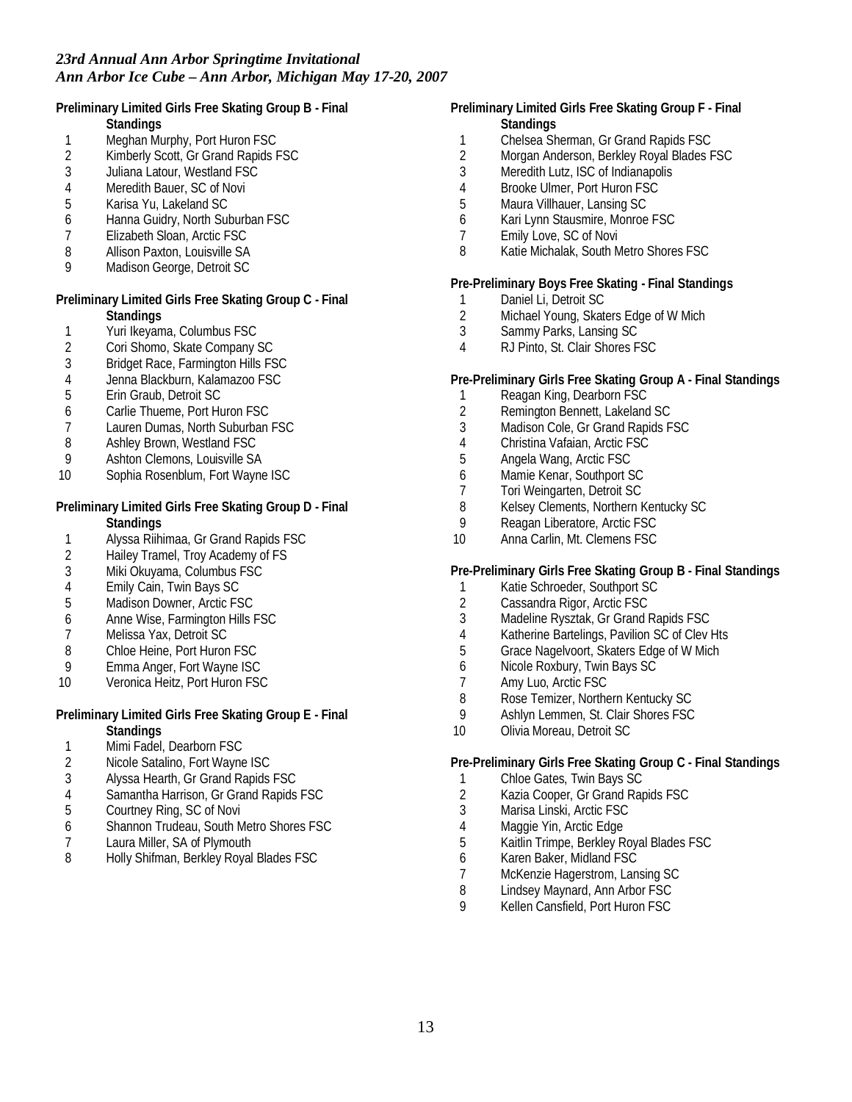**Preliminary Limited Girls Free Skating Group B - Final Standings**

- 
- 1 Meghan Murphy, Port Huron FSC<br>2 Kimberly Scott. Gr Grand Rapids F
- 2 Kimberly Scott, Gr Grand Rapids FSC<br>3 Juliana Latour. Westland FSC Juliana Latour, Westland FSC
- 4 Meredith Bauer, SC of Novi
- 5 Karisa Yu, Lakeland SC
- 6 Hanna Guidry, North Suburban FSC
- 7 Elizabeth Sloan, Arctic FSC
- 
- 8 Allison Paxton, Louisville SA<br>9 Madison George, Detroit SC Madison George, Detroit SC

**Preliminary Limited Girls Free Skating Group C - Final Standings**

- 1 Yuri Ikeyama, Columbus FSC
- 2 Cori Shomo, Skate Company SC
- 3 Bridget Race, Farmington Hills FSC
- 4 Jenna Blackburn, Kalamazoo FSC
- 5 Erin Graub, Detroit SC
- 6 Carlie Thueme, Port Huron FSC
- 7 Lauren Dumas, North Suburban FSC
- 8 Ashley Brown, Westland FSC
- 9 Ashton Clemons, Louisville SA
- 10 Sophia Rosenblum, Fort Wayne ISC

**Preliminary Limited Girls Free Skating Group D - Final Standings**

- 1 Alyssa Riihimaa, Gr Grand Rapids FSC
- 2 Hailey Tramel, Troy Academy of FS
- 3 Miki Okuyama, Columbus FSC
- 4 Emily Cain, Twin Bays SC
- 5 Madison Downer, Arctic FSC
- 6 Anne Wise, Farmington Hills FSC
- 7 Melissa Yax, Detroit SC<br>8 Chloe Heine, Port Huron
- 8 Chloe Heine, Port Huron FSC<br>9 Emma Anger. Fort Wayne ISC
- 9 Emma Anger, Fort Wayne ISC
- 10 Veronica Heitz, Port Huron FSC
- **Preliminary Limited Girls Free Skating Group E Final Standings**
- 1 Mimi Fadel, Dearborn FSC
- 2 Nicole Satalino, Fort Wayne ISC
- 3 Alyssa Hearth, Gr Grand Rapids FSC
- 4 Samantha Harrison, Gr Grand Rapids FSC
- 5 Courtney Ring, SC of Novi
- 6 Shannon Trudeau, South Metro Shores FSC
- 7 Laura Miller, SA of Plymouth<br>8 Holly Shifman, Berkley Royal
- Holly Shifman, Berkley Royal Blades FSC
- **Preliminary Limited Girls Free Skating Group F Final Standings**
	- 1 Chelsea Sherman, Gr Grand Rapids FSC<br>2 Morgan Anderson, Berkley Royal Blades I
	- 2 Morgan Anderson, Berkley Royal Blades FSC
	- 3 Meredith Lutz, ISC of Indianapolis
	- 4 Brooke Ulmer, Port Huron FSC
	- 5 Maura Villhauer, Lansing SC
	- 6 Kari Lynn Stausmire, Monroe FSC
	- 7 Emily Love, SC of Novi
	- 8 Katie Michalak, South Metro Shores FSC

**Pre-Preliminary Boys Free Skating - Final Standings**

- 1 Daniel Li, Detroit SC<br>2 Michael Young, Skate
- Michael Young, Skaters Edge of W Mich
- 3 Sammy Parks, Lansing SC
- 4 RJ Pinto, St. Clair Shores FSC

**Pre-Preliminary Girls Free Skating Group A - Final Standings**

- 1 Reagan King, Dearborn FSC
- 2 Remington Bennett, Lakeland SC
- 3 Madison Cole, Gr Grand Rapids FSC
- 4 Christina Vafaian, Arctic FSC
- 5 Angela Wang, Arctic FSC
- 6 Mamie Kenar, Southport SC
- 7 Tori Weingarten, Detroit SC<br>8 Kelsev Clements, Northern K
- 8 Kelsey Clements, Northern Kentucky SC
- 9 Reagan Liberatore, Arctic FSC<br>10 Anna Carlin, Mt. Clemens FSC
- Anna Carlin, Mt. Clemens FSC

**Pre-Preliminary Girls Free Skating Group B - Final Standings**

- 1 Katie Schroeder, Southport SC<br>2 Cassandra Rigor, Arctic FSC
- 2 Cassandra Rigor, Arctic FSC
- 3 Madeline Rysztak, Gr Grand Rapids FSC
- 4 Katherine Bartelings, Pavilion SC of Clev Hts<br>5 Grace Nagelvoort. Skaters Edge of W Mich
- 5 Grace Nagelvoort, Skaters Edge of W Mich
- 6 Nicole Roxbury, Twin Bays SC
- 7 Amy Luo, Arctic FSC
- 8 Rose Temizer, Northern Kentucky SC<br>9 Ashlyn Lemmen St. Clair Shores ESC
- Ashlyn Lemmen, St. Clair Shores FSC
- 10 Olivia Moreau, Detroit SC

**Pre-Preliminary Girls Free Skating Group C - Final Standings**

- 1 Chloe Gates, Twin Bays SC
- 2 Kazia Cooper, Gr Grand Rapids FSC
- 3 Marisa Linski, Arctic FSC
- 4 Maggie Yin, Arctic Edge
- 5 Kaitlin Trimpe, Berkley Royal Blades FSC
- 6 Karen Baker, Midland FSC
- 7 McKenzie Hagerstrom, Lansing SC
- 8 Lindsey Maynard, Ann Arbor FSC<br>9 Kellen Cansfield, Port Huron FSC
- 9 Kellen Cansfield, Port Huron FSC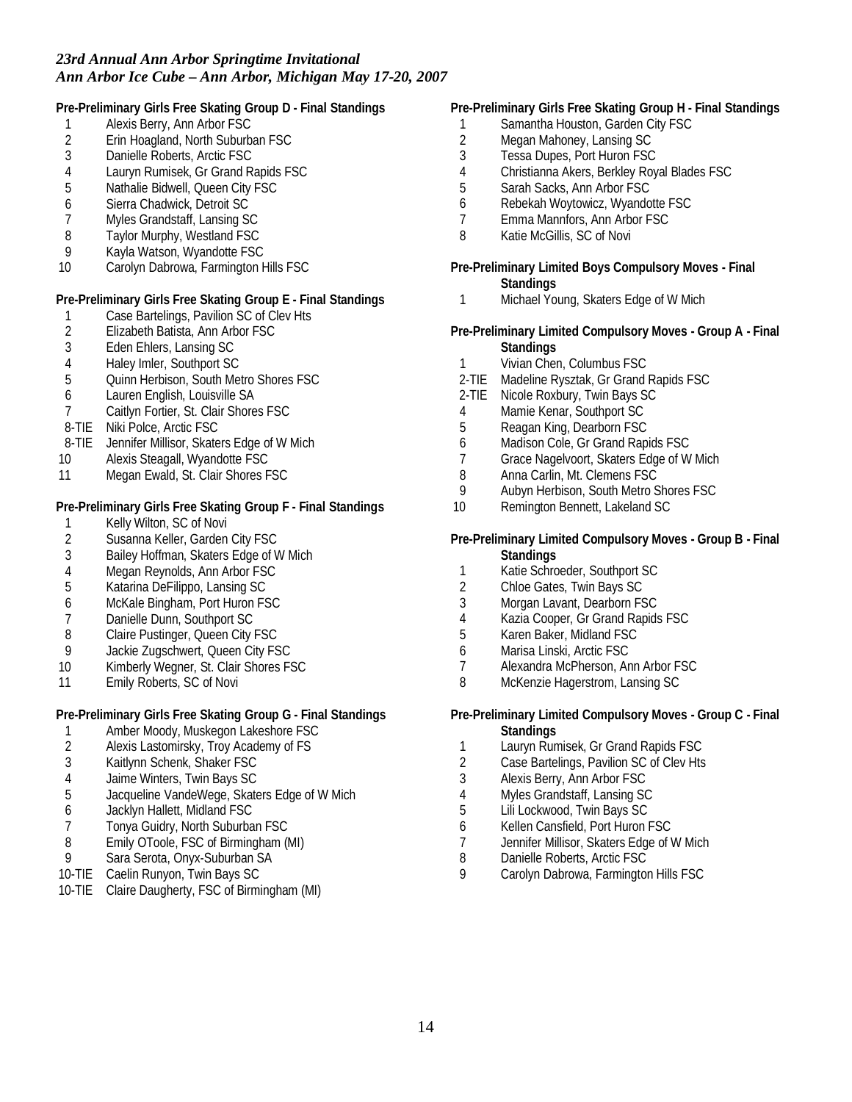**Pre-Preliminary Girls Free Skating Group D - Final Standings**

- 1 Alexis Berry, Ann Arbor FSC<br>2 Erin Hoagland. North Suburb.
- 2 Erin Hoagland, North Suburban FSC<br>3 Danielle Roberts. Arctic FSC
- 3 Danielle Roberts, Arctic FSC<br>4 Lauryn Rumisek. Gr Grand R.
- Lauryn Rumisek, Gr Grand Rapids FSC
- 5 Nathalie Bidwell, Queen City FSC
- 6 Sierra Chadwick, Detroit SC
- 7 Myles Grandstaff, Lansing SC
- 8 Taylor Murphy, Westland FSC
- 9 Kayla Watson, Wyandotte FSC
- 10 Carolyn Dabrowa, Farmington Hills FSC

**Pre-Preliminary Girls Free Skating Group E - Final Standings**

- 1 Case Bartelings, Pavilion SC of Clev Hts<br>2 Elizabeth Batista. Ann Arbor FSC
- 2 Elizabeth Batista, Ann Arbor FSC
- 3 Eden Ehlers, Lansing SC
- 4 Haley Imler, Southport SC
- 5 Quinn Herbison, South Metro Shores FSC
- 6 Lauren English, Louisville SA
- 7 Caitlyn Fortier, St. Clair Shores FSC
- 8-TIE Niki Polce, Arctic FSC
- 8-TIE Jennifer Millisor, Skaters Edge of W Mich
- 10 Alexis Steagall, Wyandotte FSC
- 11 Megan Ewald, St. Clair Shores FSC

**Pre-Preliminary Girls Free Skating Group F - Final Standings**

- 1 Kelly Wilton, SC of Novi<br>2 Susanna Keller, Garden
- Susanna Keller, Garden City FSC
- 3 Bailey Hoffman, Skaters Edge of W Mich
- 4 Megan Reynolds, Ann Arbor FSC
- 5 Katarina DeFilippo, Lansing SC
- 6 McKale Bingham, Port Huron FSC
- 7 Danielle Dunn, Southport SC<br>8 Claire Pustinger, Queen City
- 8 Claire Pustinger, Queen City FSC<br>9 Jackie Zugschwert, Queen City FS
- Jackie Zugschwert, Queen City FSC
- 10 Kimberly Wegner, St. Clair Shores FSC
- 11 Emily Roberts, SC of Novi

**Pre-Preliminary Girls Free Skating Group G - Final Standings**

- 1 Amber Moody, Muskegon Lakeshore FSC<br>2 Alexis Lastomirsky, Troy Academy of FS
- Alexis Lastomirsky, Troy Academy of FS
- 3 Kaitlynn Schenk, Shaker FSC
- 4 Jaime Winters, Twin Bays SC
- 5 Jacqueline VandeWege, Skaters Edge of W Mich
- 6 Jacklyn Hallett, Midland FSC
- 7 Tonya Guidry, North Suburban FSC
- 8 Emily OToole, FSC of Birmingham (MI)<br>9 Sara Serota, Onvx-Suburban SA
- Sara Serota, Onyx-Suburban SA
- 10-TIE Caelin Runyon, Twin Bays SC
- 10-TIE Claire Daugherty, FSC of Birmingham (MI)
- **Pre-Preliminary Girls Free Skating Group H Final Standings**
- 1 Samantha Houston, Garden City FSC
- 2 Megan Mahoney, Lansing SC<br>3 Tessa Dupes, Port Huron FSC
- 3 Tessa Dupes, Port Huron FSC<br>4 Christianna Akers, Berkley Roy
- 4 Christianna Akers, Berkley Royal Blades FSC
- 5 Sarah Sacks, Ann Arbor FSC
- 6 Rebekah Woytowicz, Wyandotte FSC
- 7 Emma Mannfors, Ann Arbor FSC
- 8 Katie McGillis, SC of Novi
- **Pre-Preliminary Limited Boys Compulsory Moves Final Standings**
- 1 Michael Young, Skaters Edge of W Mich
- **Pre-Preliminary Limited Compulsory Moves Group A Final Standings**
	- 1 Vivian Chen, Columbus FSC
	- 2-TIE Madeline Rysztak, Gr Grand Rapids FSC
- 2-TIE Nicole Roxbury, Twin Bays SC
- 4 Mamie Kenar, Southport SC
- 5 Reagan King, Dearborn FSC
- 6 Madison Cole, Gr Grand Rapids FSC
- 7 Grace Nagelvoort, Skaters Edge of W Mich
- 8 Anna Carlin, Mt. Clemens FSC<br>9 Aubyn Herbison. South Metro S
- 9 Aubyn Herbison, South Metro Shores FSC
- 10 Remington Bennett, Lakeland SC
- **Pre-Preliminary Limited Compulsory Moves Group B Final Standings**
	- 1 Katie Schroeder, Southport SC
	- 2 Chloe Gates, Twin Bays SC<br>3 Morgan Lavant. Dearborn FS
	- Morgan Lavant, Dearborn FSC
	- 4 Kazia Cooper, Gr Grand Rapids FSC<br>5 Karen Baker, Midland FSC
	- 5 Karen Baker, Midland FSC
	- 6 Marisa Linski, Arctic FSC
	- 7 Alexandra McPherson, Ann Arbor FSC
	- 8 McKenzie Hagerstrom, Lansing SC
- **Pre-Preliminary Limited Compulsory Moves Group C Final Standings**
- 1 Lauryn Rumisek, Gr Grand Rapids FSC
- 2 Case Bartelings, Pavilion SC of Clev Hts
- 3 Alexis Berry, Ann Arbor FSC
- 4 Myles Grandstaff, Lansing SC
- 5 Lili Lockwood, Twin Bays SC
- 6 Kellen Cansfield, Port Huron FSC
- 7 Jennifer Millisor, Skaters Edge of W Mich<br>8 Danielle Roberts, Arctic FSC
- 8 Danielle Roberts, Arctic FSC<br>9 Carolyn Dabrowa Farmingto
- 9 Carolyn Dabrowa, Farmington Hills FSC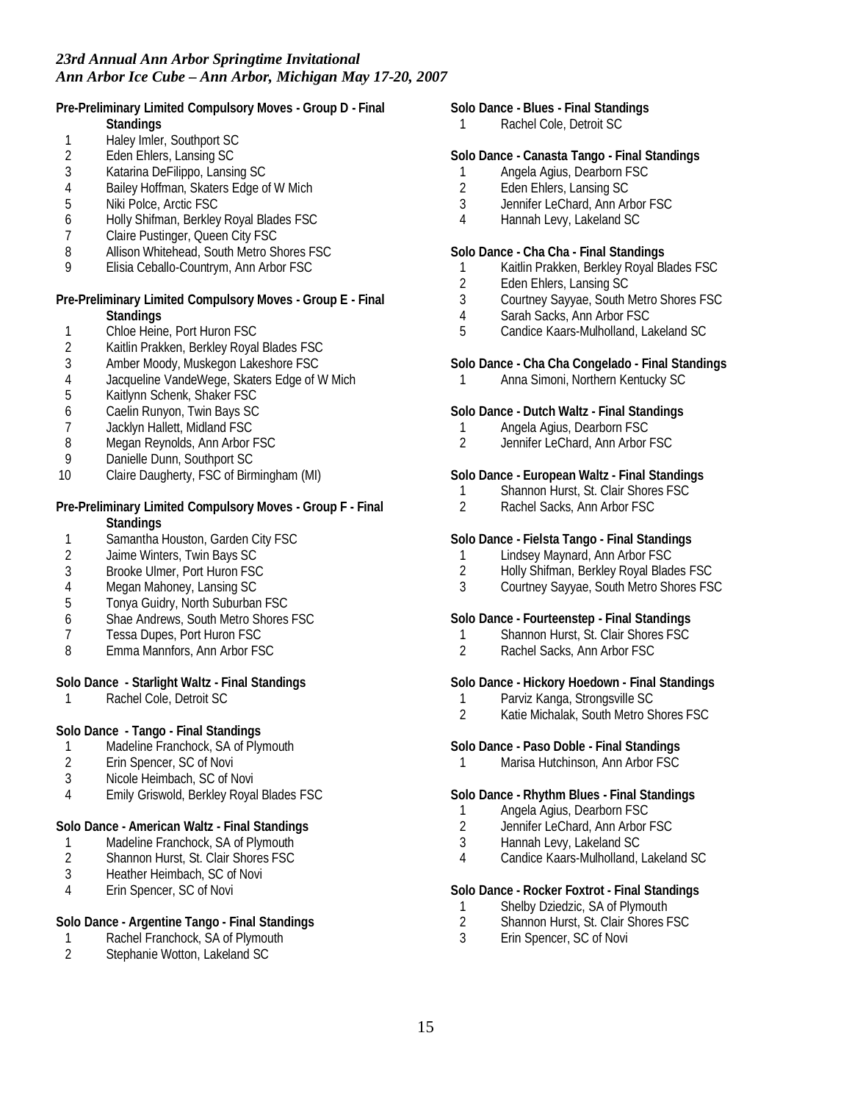**Pre-Preliminary Limited Compulsory Moves - Group D - Final**

- **Standings**
- 1 Haley Imler, Southport SC<br>2 Eden Ehlers, Lansing SC
- 2 Eden Ehlers, Lansing SC<br>3 Katarina DeFilippo, Lansin
- 3 Katarina DeFilippo, Lansing SC
- 4 Bailey Hoffman, Skaters Edge of W Mich
- 5 Niki Polce, Arctic FSC
- 6 Holly Shifman, Berkley Royal Blades FSC
- 7 Claire Pustinger, Queen City FSC
- 8 Allison Whitehead, South Metro Shores FSC<br>9 Elisia Ceballo-Countrym, Ann Arbor FSC
- 9 Elisia Ceballo-Countrym, Ann Arbor FSC

**Pre-Preliminary Limited Compulsory Moves - Group E - Final Standings**

- 1 Chloe Heine, Port Huron FSC
- 2 Kaitlin Prakken, Berkley Royal Blades FSC
- 3 Amber Moody, Muskegon Lakeshore FSC
- 4 Jacqueline VandeWege, Skaters Edge of W Mich
- 5 Kaitlynn Schenk, Shaker FSC
- 6 Caelin Runyon, Twin Bays SC
- 7 Jacklyn Hallett, Midland FSC
- 8 Megan Reynolds, Ann Arbor FSC
- 9 Danielle Dunn, Southport SC
- 10 Claire Daugherty, FSC of Birmingham (MI)
- **Pre-Preliminary Limited Compulsory Moves Group F Final Standings**
- 1 Samantha Houston, Garden City FSC
- 2 Jaime Winters, Twin Bays SC
- 3 Brooke Ulmer, Port Huron FSC
- 4 Megan Mahoney, Lansing SC
- 5 Tonya Guidry, North Suburban FSC
- 6 Shae Andrews, South Metro Shores FSC
- 
- 7 Tessa Dupes, Port Huron FSC<br>8 Emma Mannfors, Ann Arbor FS Emma Mannfors, Ann Arbor FSC

**Solo Dance - Starlight Waltz - Final Standings**

1 Rachel Cole, Detroit SC

**Solo Dance - Tango - Final Standings**

- 1 Madeline Franchock, SA of Plymouth<br>2 Erin Spencer, SC of Novi
- Erin Spencer, SC of Novi
- 3 Nicole Heimbach, SC of Novi
- 4 Emily Griswold, Berkley Royal Blades FSC

**Solo Dance - American Waltz - Final Standings**

- 1 Madeline Franchock, SA of Plymouth<br>2 Shannon Hurst, St. Clair Shores FSC
- Shannon Hurst, St. Clair Shores FSC
- 3 Heather Heimbach, SC of Novi
- 4 Erin Spencer, SC of Novi

## **Solo Dance - Argentine Tango - Final Standings**

- 1 Rachel Franchock, SA of Plymouth<br>2 Stephanie Wotton, Lakeland SC
- Stephanie Wotton, Lakeland SC

**Solo Dance - Blues - Final Standings**

1 Rachel Cole, Detroit SC

## **Solo Dance - Canasta Tango - Final Standings**

- 1 Angela Agius, Dearborn FSC
- 2 Eden Ehlers, Lansing SC
- 3 Jennifer LeChard, Ann Arbor FSC
- 4 Hannah Levy, Lakeland SC

**Solo Dance - Cha Cha - Final Standings**

- 1 Kaitlin Prakken, Berkley Royal Blades FSC<br>2 Eden Ehlers. Lansing SC
- Eden Ehlers, Lansing SC
- 3 Courtney Sayyae, South Metro Shores FSC
- 4 Sarah Sacks, Ann Arbor FSC
- 5 Candice Kaars-Mulholland, Lakeland SC

**Solo Dance - Cha Cha Congelado - Final Standings**

1 Anna Simoni, Northern Kentucky SC

**Solo Dance - Dutch Waltz - Final Standings**

- 1 Angela Agius, Dearborn FSC
- 2 Jennifer LeChard, Ann Arbor FSC

**Solo Dance - European Waltz - Final Standings**

- 1 Shannon Hurst, St. Clair Shores FSC<br>2 Rachel Sacks. Ann Arbor FSC
- Rachel Sacks, Ann Arbor FSC

**Solo Dance - Fielsta Tango - Final Standings**

- 1 Lindsey Maynard, Ann Arbor FSC
- 2 Holly Shifman, Berkley Royal Blades FSC
- 3 Courtney Sayyae, South Metro Shores FSC

**Solo Dance - Fourteenstep - Final Standings**

- 1 Shannon Hurst, St. Clair Shores FSC<br>2 Rachel Sacks. Ann Arbor FSC
- 2 Rachel Sacks, Ann Arbor FSC

**Solo Dance - Hickory Hoedown - Final Standings**

- 1 Parviz Kanga, Strongsville SC
- 2 Katie Michalak, South Metro Shores FSC

**Solo Dance - Paso Doble - Final Standings**

1 Marisa Hutchinson, Ann Arbor FSC

**Solo Dance - Rhythm Blues - Final Standings**

- 1 Angela Agius, Dearborn FSC<br>2 Jennifer LeChard, Ann Arbor I
- Jennifer LeChard, Ann Arbor FSC
- 3 Hannah Levy, Lakeland SC
- 4 Candice Kaars-Mulholland, Lakeland SC

**Solo Dance - Rocker Foxtrot - Final Standings**

- 1 Shelby Dziedzic, SA of Plymouth<br>2 Shannon Hurst, St. Clair Shores F
- 2 Shannon Hurst, St. Clair Shores FSC
- 3 Erin Spencer, SC of Novi